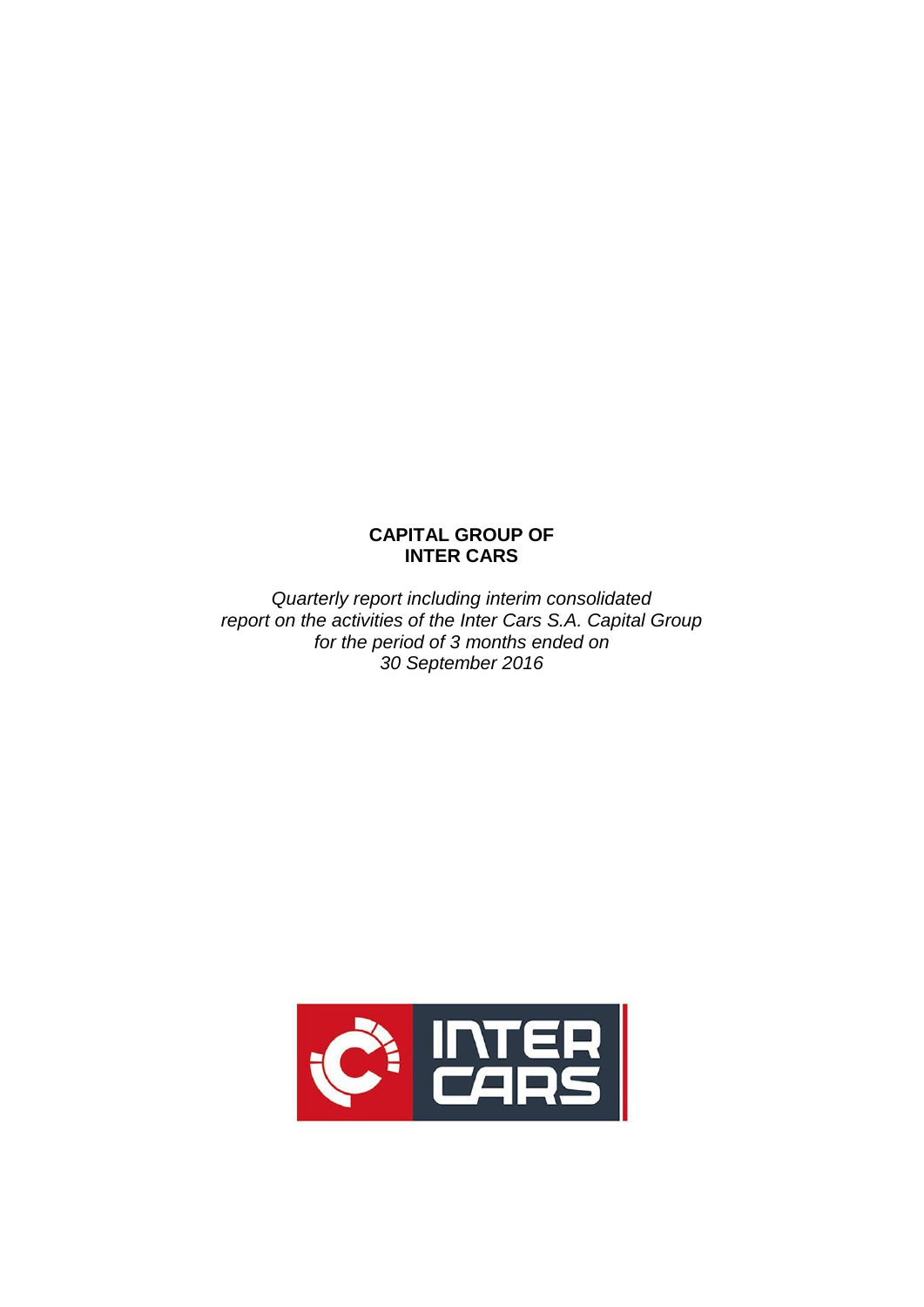# **CAPITAL GROUP OF INTER CARS**

*Quarterly report including interim consolidated report on the activities of the Inter Cars S.A. Capital Group for the period of 3 months ended on 30 September 2016*

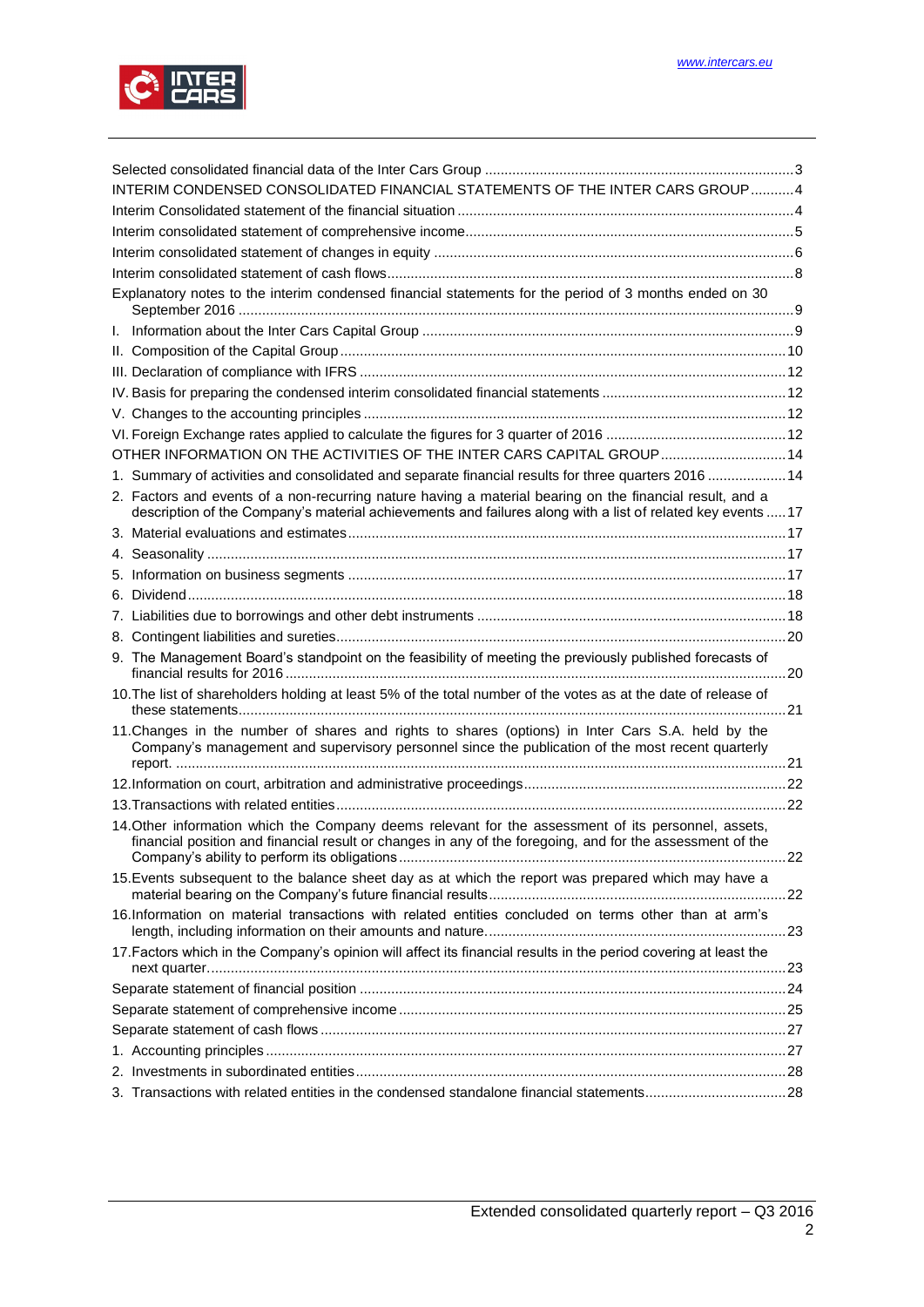

| INTERIM CONDENSED CONSOLIDATED FINANCIAL STATEMENTS OF THE INTER CARS GROUP4                                                                                                                                     |  |
|------------------------------------------------------------------------------------------------------------------------------------------------------------------------------------------------------------------|--|
|                                                                                                                                                                                                                  |  |
|                                                                                                                                                                                                                  |  |
|                                                                                                                                                                                                                  |  |
|                                                                                                                                                                                                                  |  |
| Explanatory notes to the interim condensed financial statements for the period of 3 months ended on 30                                                                                                           |  |
|                                                                                                                                                                                                                  |  |
|                                                                                                                                                                                                                  |  |
|                                                                                                                                                                                                                  |  |
|                                                                                                                                                                                                                  |  |
|                                                                                                                                                                                                                  |  |
|                                                                                                                                                                                                                  |  |
| OTHER INFORMATION ON THE ACTIVITIES OF THE INTER CARS CAPITAL GROUP 14                                                                                                                                           |  |
| 1. Summary of activities and consolidated and separate financial results for three quarters 2016 14                                                                                                              |  |
| 2. Factors and events of a non-recurring nature having a material bearing on the financial result, and a                                                                                                         |  |
| description of the Company's material achievements and failures along with a list of related key events  17                                                                                                      |  |
|                                                                                                                                                                                                                  |  |
|                                                                                                                                                                                                                  |  |
|                                                                                                                                                                                                                  |  |
|                                                                                                                                                                                                                  |  |
|                                                                                                                                                                                                                  |  |
|                                                                                                                                                                                                                  |  |
| 9. The Management Board's standpoint on the feasibility of meeting the previously published forecasts of                                                                                                         |  |
| 10. The list of shareholders holding at least 5% of the total number of the votes as at the date of release of                                                                                                   |  |
| 11. Changes in the number of shares and rights to shares (options) in Inter Cars S.A. held by the<br>Company's management and supervisory personnel since the publication of the most recent quarterly           |  |
|                                                                                                                                                                                                                  |  |
|                                                                                                                                                                                                                  |  |
| 14. Other information which the Company deems relevant for the assessment of its personnel, assets,<br>financial position and financial result or changes in any of the foregoing, and for the assessment of the |  |
| 15. Events subsequent to the balance sheet day as at which the report was prepared which may have a                                                                                                              |  |
| 16.Information on material transactions with related entities concluded on terms other than at arm's                                                                                                             |  |
| 17. Factors which in the Company's opinion will affect its financial results in the period covering at least the                                                                                                 |  |
|                                                                                                                                                                                                                  |  |
|                                                                                                                                                                                                                  |  |
|                                                                                                                                                                                                                  |  |
|                                                                                                                                                                                                                  |  |
|                                                                                                                                                                                                                  |  |
|                                                                                                                                                                                                                  |  |
|                                                                                                                                                                                                                  |  |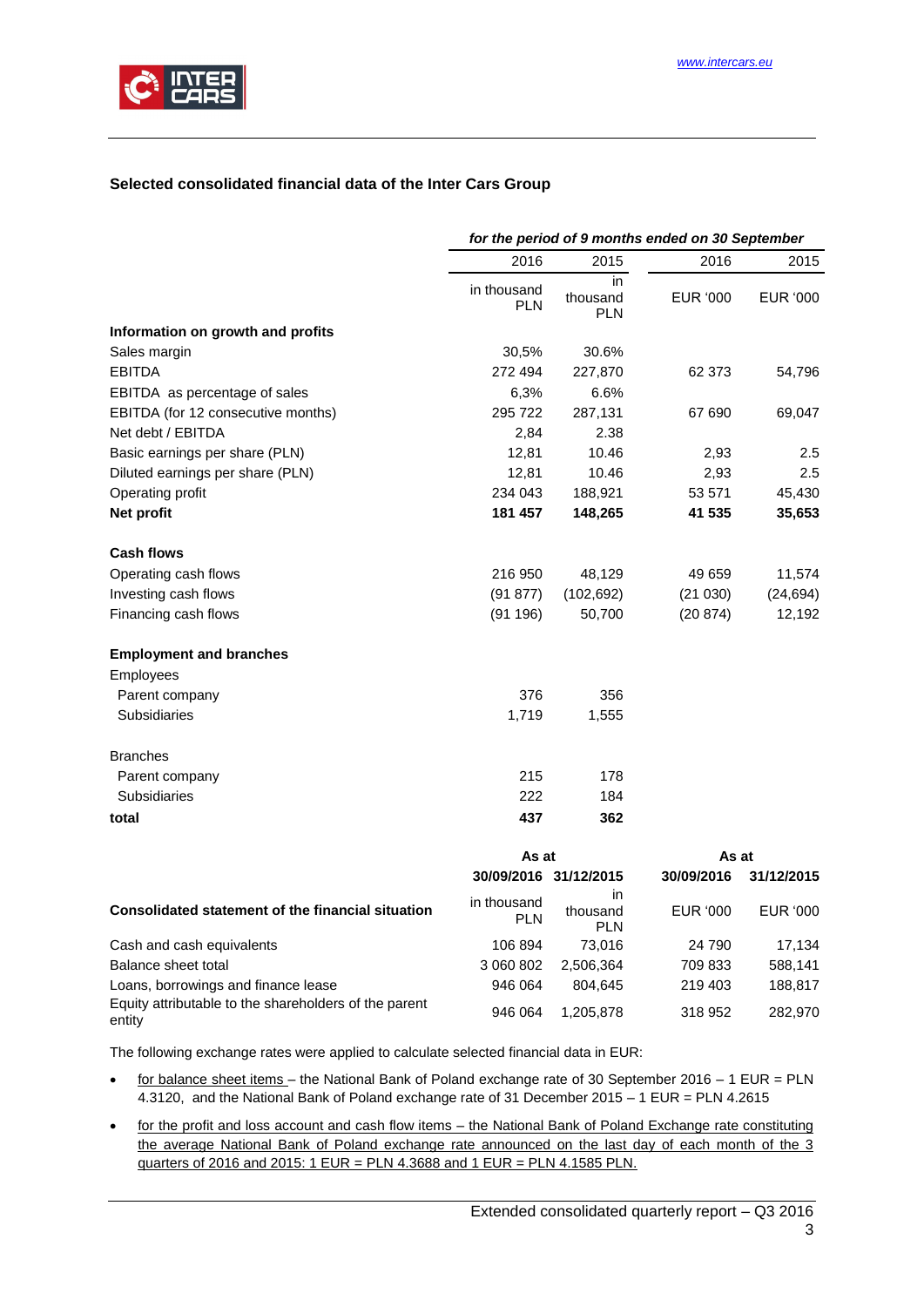

# <span id="page-2-0"></span>**Selected consolidated financial data of the Inter Cars Group**

|                                                                 | for the period of 9 months ended on 30 September |                               |            |            |  |
|-----------------------------------------------------------------|--------------------------------------------------|-------------------------------|------------|------------|--|
|                                                                 | 2016                                             | 2015                          | 2016       | 2015       |  |
|                                                                 | in thousand<br><b>PLN</b>                        | in<br>thousand<br><b>PLN</b>  | EUR '000   | EUR '000   |  |
| Information on growth and profits                               |                                                  |                               |            |            |  |
| Sales margin                                                    | 30,5%                                            | 30.6%                         |            |            |  |
| <b>EBITDA</b>                                                   | 272 494                                          | 227,870                       | 62 373     | 54,796     |  |
| EBITDA as percentage of sales                                   | 6,3%                                             | 6.6%                          |            |            |  |
| EBITDA (for 12 consecutive months)                              | 295 722                                          | 287,131                       | 67 690     | 69,047     |  |
| Net debt / EBITDA                                               | 2,84                                             | 2.38                          |            |            |  |
| Basic earnings per share (PLN)                                  | 12,81                                            | 10.46                         | 2,93       | 2.5        |  |
| Diluted earnings per share (PLN)                                | 12,81                                            | 10.46                         | 2,93       | 2.5        |  |
| Operating profit                                                | 234 043                                          | 188,921                       | 53 571     | 45,430     |  |
| Net profit                                                      | 181 457                                          | 148,265                       | 41 535     | 35,653     |  |
| Cash flows                                                      |                                                  |                               |            |            |  |
| Operating cash flows                                            | 216 950                                          | 48,129                        | 49 659     | 11,574     |  |
| Investing cash flows                                            | (91 877)                                         | (102, 692)                    | (21030)    | (24, 694)  |  |
| Financing cash flows                                            | (91196)                                          | 50,700                        | (20 874)   | 12,192     |  |
| <b>Employment and branches</b>                                  |                                                  |                               |            |            |  |
| Employees                                                       |                                                  |                               |            |            |  |
| Parent company                                                  | 376                                              | 356                           |            |            |  |
| <b>Subsidiaries</b>                                             | 1,719                                            | 1,555                         |            |            |  |
| <b>Branches</b>                                                 |                                                  |                               |            |            |  |
| Parent company                                                  | 215                                              | 178                           |            |            |  |
| <b>Subsidiaries</b>                                             | 222                                              | 184                           |            |            |  |
| total                                                           | 437                                              | 362                           |            |            |  |
|                                                                 | As at                                            |                               | As at      |            |  |
|                                                                 |                                                  | 30/09/2016 31/12/2015         | 30/09/2016 | 31/12/2015 |  |
| Consolidated statement of the financial situation               | in thousand<br><b>PLN</b>                        | in.<br>thousand<br><b>PLN</b> | EUR '000   | EUR '000   |  |
| Cash and cash equivalents                                       | 106 894                                          | 73,016                        | 24 790     | 17,134     |  |
| Balance sheet total                                             | 3 060 802                                        | 2,506,364                     | 709 833    | 588,141    |  |
| Loans, borrowings and finance lease                             | 946 064                                          | 804,645                       | 219 403    | 188,817    |  |
| Equity attributable to the shareholders of the parent<br>entity | 946 064                                          | 1,205,878                     | 318 952    | 282,970    |  |

The following exchange rates were applied to calculate selected financial data in EUR:

- for balance sheet items the National Bank of Poland exchange rate of 30 September 2016 1 EUR = PLN 4.3120, and the National Bank of Poland exchange rate of 31 December 2015 – 1 EUR = PLN 4.2615
- for the profit and loss account and cash flow items the National Bank of Poland Exchange rate constituting the average National Bank of Poland exchange rate announced on the last day of each month of the 3 quarters of 2016 and 2015: 1 EUR = PLN 4.3688 and 1 EUR = PLN 4.1585 PLN.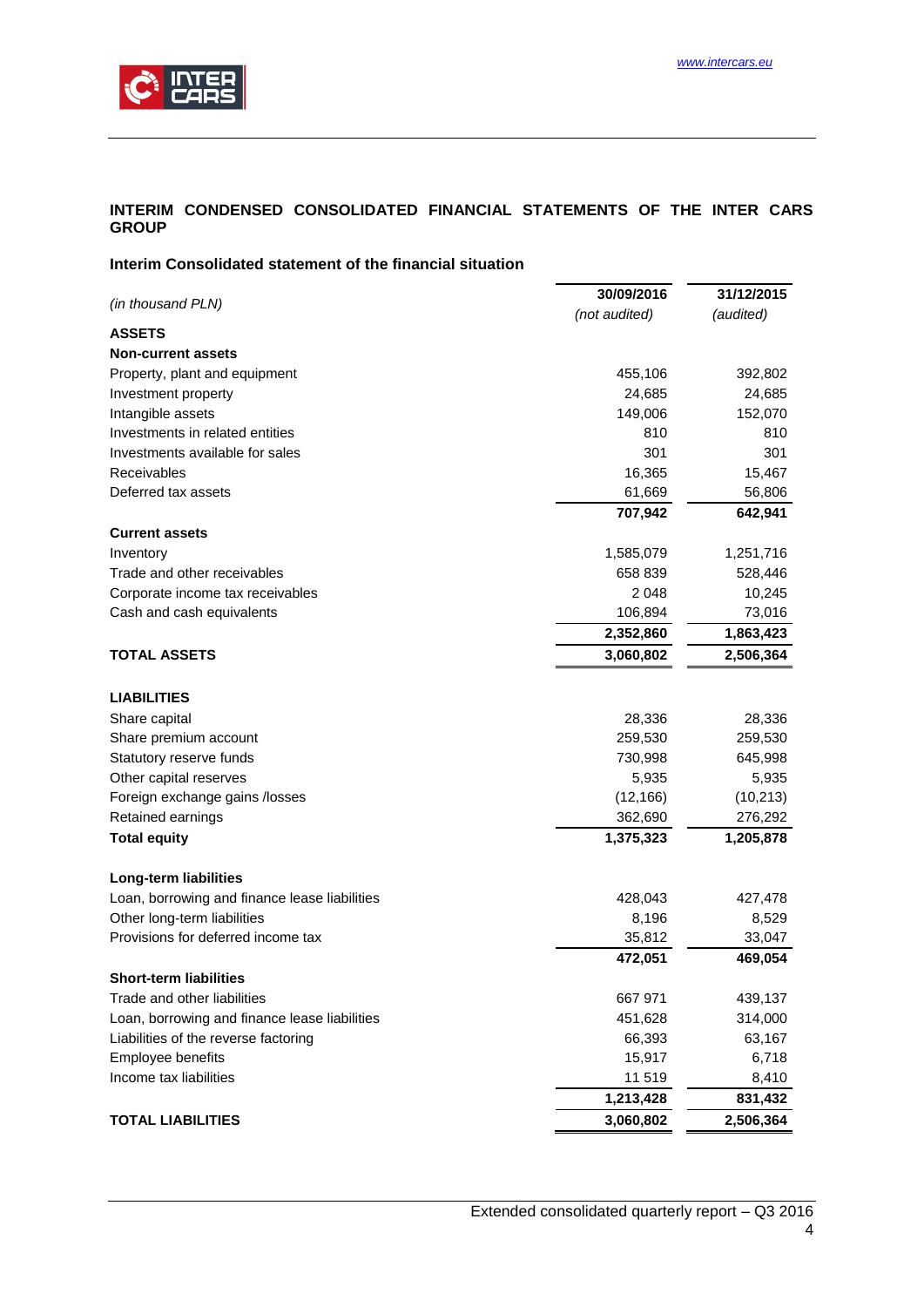# <span id="page-3-0"></span>**INTERIM CONDENSED CONSOLIDATED FINANCIAL STATEMENTS OF THE INTER CARS GROUP**

# <span id="page-3-1"></span>**Interim Consolidated statement of the financial situation**

|                                               | 30/09/2016           | 31/12/2015           |
|-----------------------------------------------|----------------------|----------------------|
| (in thousand PLN)                             | (not audited)        | (audited)            |
| <b>ASSETS</b>                                 |                      |                      |
| <b>Non-current assets</b>                     |                      |                      |
| Property, plant and equipment                 | 455,106              | 392,802              |
| Investment property                           | 24,685               | 24,685               |
| Intangible assets                             | 149,006              | 152,070              |
| Investments in related entities               | 810                  | 810                  |
| Investments available for sales               | 301                  | 301                  |
| Receivables                                   | 16,365               | 15,467               |
| Deferred tax assets                           | 61,669               | 56,806               |
|                                               | 707,942              | 642,941              |
| <b>Current assets</b>                         |                      |                      |
| Inventory                                     | 1,585,079            | 1,251,716            |
| Trade and other receivables                   | 658 839              | 528,446              |
| Corporate income tax receivables              | 2 0 4 8              | 10,245               |
| Cash and cash equivalents                     | 106,894              | 73,016               |
|                                               | 2,352,860            | 1,863,423            |
| <b>TOTAL ASSETS</b>                           | 3,060,802            | 2,506,364            |
| <b>LIABILITIES</b>                            |                      |                      |
| Share capital                                 | 28,336               | 28,336               |
| Share premium account                         | 259,530              | 259,530              |
| Statutory reserve funds                       | 730,998              | 645,998              |
| Other capital reserves                        | 5,935                |                      |
| Foreign exchange gains /losses                | (12, 166)            | 5,935                |
|                                               |                      | (10, 213)            |
| Retained earnings<br><b>Total equity</b>      | 362,690<br>1,375,323 | 276,292<br>1,205,878 |
|                                               |                      |                      |
| Long-term liabilities                         |                      |                      |
| Loan, borrowing and finance lease liabilities | 428,043              | 427,478              |
| Other long-term liabilities                   | 8,196                | 8,529                |
| Provisions for deferred income tax            | 35,812               | 33,047               |
|                                               | 472,051              | 469,054              |
| <b>Short-term liabilities</b>                 |                      |                      |
| Trade and other liabilities                   | 667 971              | 439,137              |
| Loan, borrowing and finance lease liabilities | 451,628              | 314,000              |
| Liabilities of the reverse factoring          | 66,393               | 63,167               |
| Employee benefits                             | 15,917               | 6,718                |
| Income tax liabilities                        | 11 519               | 8,410                |
|                                               | 1,213,428            | 831,432              |
| <b>TOTAL LIABILITIES</b>                      | 3,060,802            | 2,506,364            |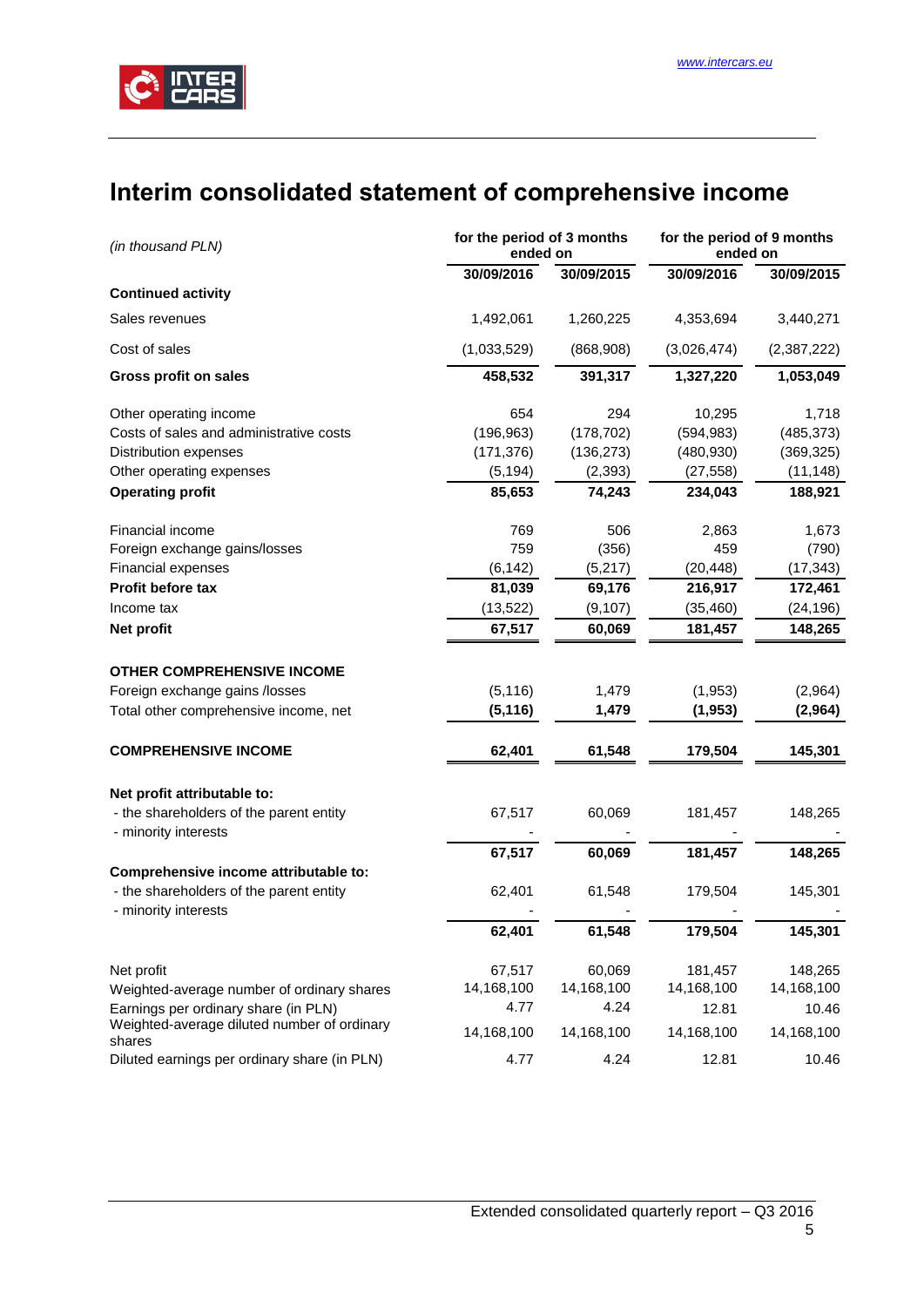# <span id="page-4-0"></span>**Interim consolidated statement of comprehensive income**

| (in thousand PLN)                                               | for the period of 3 months<br>ended on |            | for the period of 9 months<br>ended on |             |
|-----------------------------------------------------------------|----------------------------------------|------------|----------------------------------------|-------------|
|                                                                 | 30/09/2016                             | 30/09/2015 | 30/09/2016                             | 30/09/2015  |
| <b>Continued activity</b>                                       |                                        |            |                                        |             |
| Sales revenues                                                  | 1,492,061                              | 1,260,225  | 4,353,694                              | 3,440,271   |
| Cost of sales                                                   | (1,033,529)                            | (868,908)  | (3,026,474)                            | (2,387,222) |
| <b>Gross profit on sales</b>                                    | 458,532                                | 391,317    | 1,327,220                              | 1,053,049   |
| Other operating income                                          | 654                                    | 294        | 10,295                                 | 1,718       |
| Costs of sales and administrative costs                         | (196, 963)                             | (178, 702) | (594, 983)                             | (485, 373)  |
| Distribution expenses                                           | (171, 376)                             | (136, 273) | (480, 930)                             | (369, 325)  |
| Other operating expenses                                        | (5, 194)                               | (2, 393)   | (27, 558)                              | (11, 148)   |
| <b>Operating profit</b>                                         | 85,653                                 | 74,243     | 234,043                                | 188,921     |
| Financial income                                                | 769                                    | 506        | 2,863                                  | 1,673       |
| Foreign exchange gains/losses                                   | 759                                    | (356)      | 459                                    | (790)       |
| Financial expenses                                              | (6, 142)                               | (5,217)    | (20, 448)                              | (17, 343)   |
| Profit before tax                                               | 81,039                                 | 69,176     | 216,917                                | 172,461     |
| Income tax                                                      | (13, 522)                              | (9, 107)   | (35, 460)                              | (24, 196)   |
| Net profit                                                      | 67,517                                 | 60,069     | 181,457                                | 148,265     |
| <b>OTHER COMPREHENSIVE INCOME</b>                               |                                        |            |                                        |             |
| Foreign exchange gains /losses                                  | (5, 116)                               | 1,479      | (1,953)                                | (2,964)     |
| Total other comprehensive income, net                           | (5, 116)                               | 1,479      | (1, 953)                               | (2,964)     |
| <b>COMPREHENSIVE INCOME</b>                                     | 62,401                                 | 61,548     | 179,504                                | 145,301     |
| Net profit attributable to:                                     |                                        |            |                                        |             |
| - the shareholders of the parent entity<br>- minority interests | 67,517                                 | 60,069     | 181,457                                | 148,265     |
|                                                                 | 67,517                                 | 60,069     | 181,457                                | 148,265     |
| Comprehensive income attributable to:                           |                                        |            |                                        |             |
| - the shareholders of the parent entity                         | 62,401                                 | 61,548     | 179,504                                | 145,301     |
| - minority interests                                            |                                        |            |                                        |             |
|                                                                 | 62,401                                 | 61,548     | 179,504                                | 145,301     |
| Net profit                                                      | 67,517                                 | 60,069     | 181,457                                | 148,265     |
| Weighted-average number of ordinary shares                      | 14,168,100                             | 14,168,100 | 14,168,100                             | 14,168,100  |
| Earnings per ordinary share (in PLN)                            | 4.77                                   | 4.24       | 12.81                                  | 10.46       |
| Weighted-average diluted number of ordinary<br>shares           | 14,168,100                             | 14,168,100 | 14,168,100                             | 14,168,100  |
| Diluted earnings per ordinary share (in PLN)                    | 4.77                                   | 4.24       | 12.81                                  | 10.46       |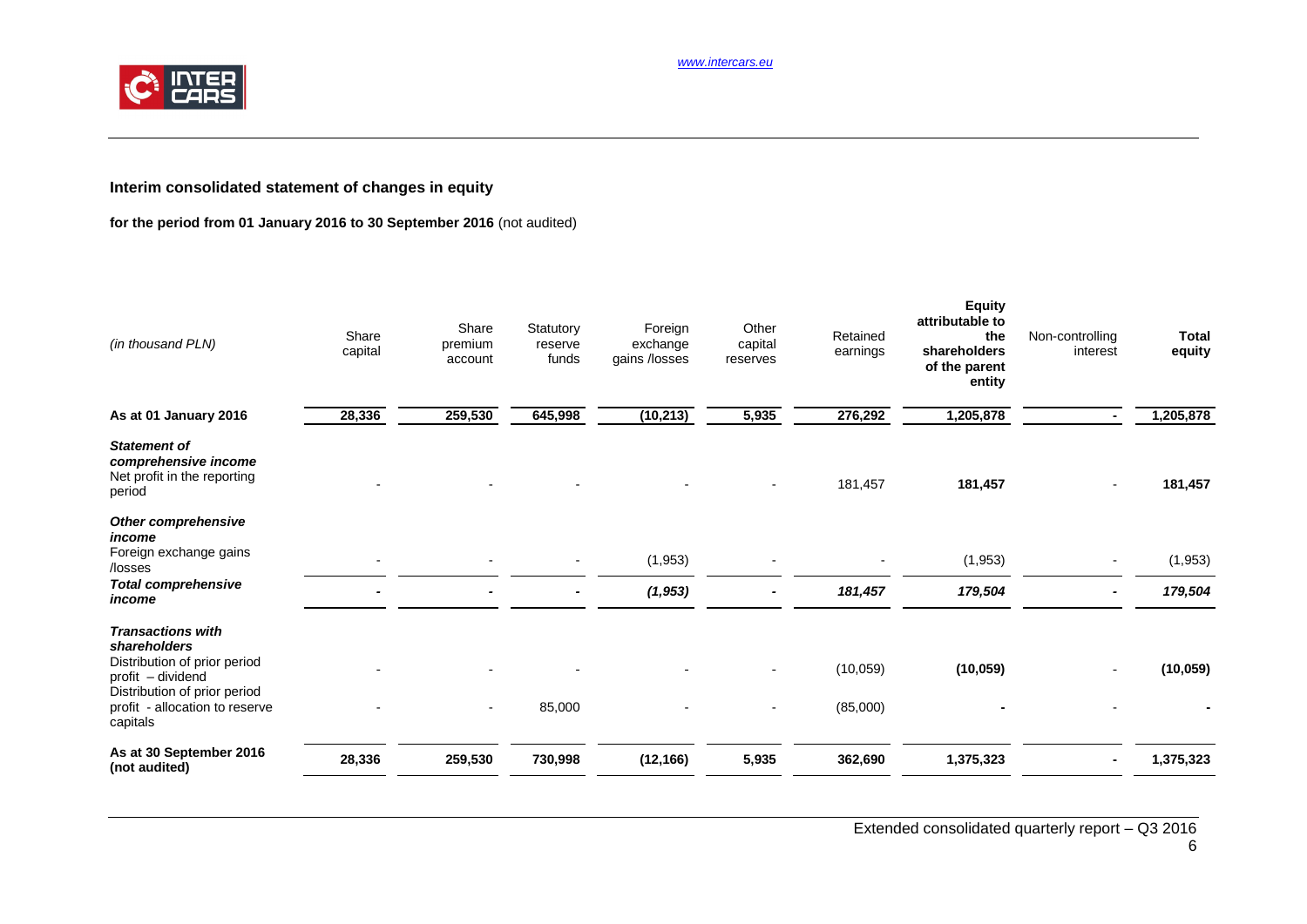*[www.intercars.eu](http://www.intercars.eu/)*



# **Interim consolidated statement of changes in equity**

# **for the period from 01 January 2016 to 30 September 2016** (not audited)

<span id="page-5-0"></span>

| (in thousand PLN)                                                                                                                                                           | Share<br>capital | Share<br>premium<br>account | Statutory<br>reserve<br>funds | Foreign<br>exchange<br>gains /losses | Other<br>capital<br>reserves | Retained<br>earnings | <b>Equity</b><br>attributable to<br>the<br>shareholders<br>of the parent<br>entity | Non-controlling<br>interest | <b>Total</b><br>equity |
|-----------------------------------------------------------------------------------------------------------------------------------------------------------------------------|------------------|-----------------------------|-------------------------------|--------------------------------------|------------------------------|----------------------|------------------------------------------------------------------------------------|-----------------------------|------------------------|
| As at 01 January 2016                                                                                                                                                       | 28,336           | 259,530                     | 645,998                       | (10, 213)                            | 5,935                        | 276,292              | 1,205,878                                                                          |                             | 1,205,878              |
| <b>Statement of</b><br>comprehensive income<br>Net profit in the reporting<br>period                                                                                        |                  |                             |                               |                                      |                              | 181,457              | 181,457                                                                            |                             | 181,457                |
| Other comprehensive<br>income<br>Foreign exchange gains<br>/losses                                                                                                          |                  |                             |                               | (1, 953)                             |                              |                      | (1, 953)                                                                           |                             | (1, 953)               |
| <b>Total comprehensive</b><br>income                                                                                                                                        |                  |                             |                               | (1, 953)                             |                              | 181,457              | 179,504                                                                            |                             | 179,504                |
| <b>Transactions with</b><br>shareholders<br>Distribution of prior period<br>profit - dividend<br>Distribution of prior period<br>profit - allocation to reserve<br>capitals |                  |                             | 85,000                        |                                      |                              | (10,059)<br>(85,000) | (10, 059)                                                                          |                             | (10, 059)              |
| As at 30 September 2016<br>(not audited)                                                                                                                                    | 28,336           | 259,530                     | 730,998                       | (12, 166)                            | 5,935                        | 362,690              | 1,375,323                                                                          |                             | 1,375,323              |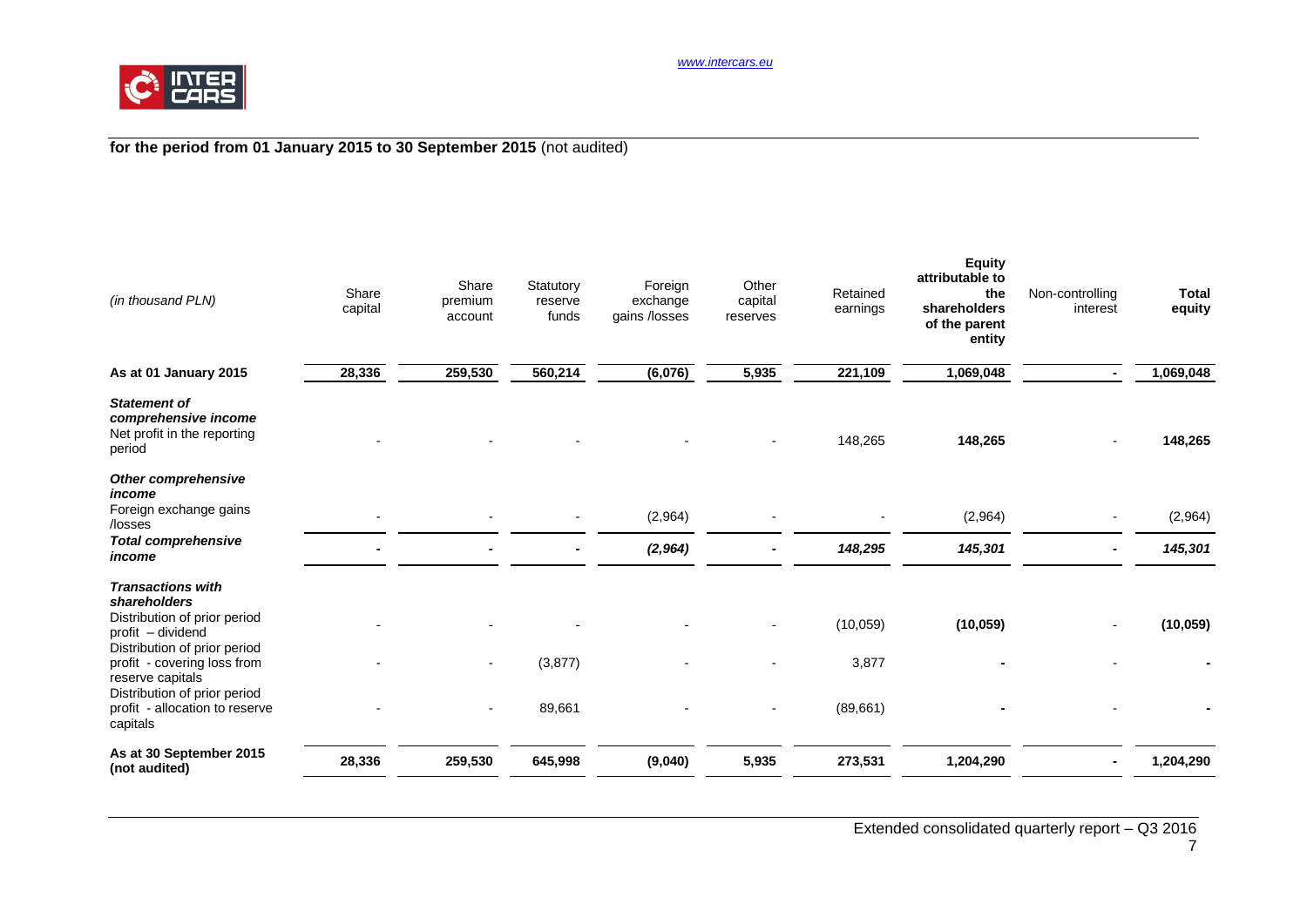

# **for the period from 01 January 2015 to 30 September 2015** (not audited)

| (in thousand PLN)                                                                                                                                                                | Share<br>capital | Share<br>premium<br>account | Statutory<br>reserve<br>funds | Foreign<br>exchange<br>gains /losses | Other<br>capital<br>reserves | Retained<br>earnings | <b>Equity</b><br>attributable to<br>the<br>shareholders<br>of the parent<br>entity | Non-controlling<br>interest | <b>Total</b><br>equity |
|----------------------------------------------------------------------------------------------------------------------------------------------------------------------------------|------------------|-----------------------------|-------------------------------|--------------------------------------|------------------------------|----------------------|------------------------------------------------------------------------------------|-----------------------------|------------------------|
| As at 01 January 2015                                                                                                                                                            | 28,336           | 259,530                     | 560,214                       | (6,076)                              | 5,935                        | 221,109              | 1,069,048                                                                          |                             | 1,069,048              |
| <b>Statement of</b><br>comprehensive income<br>Net profit in the reporting<br>period                                                                                             |                  |                             |                               |                                      |                              | 148,265              | 148,265                                                                            |                             | 148,265                |
| Other comprehensive<br>income<br>Foreign exchange gains<br>/losses                                                                                                               |                  |                             |                               | (2,964)                              |                              |                      | (2,964)                                                                            |                             | (2,964)                |
| <b>Total comprehensive</b><br>income                                                                                                                                             |                  |                             |                               | (2, 964)                             |                              | 148,295              | 145,301                                                                            |                             | 145,301                |
| <b>Transactions with</b><br>shareholders<br>Distribution of prior period<br>profit - dividend<br>Distribution of prior period<br>profit - covering loss from<br>reserve capitals |                  | $\overline{\phantom{a}}$    | (3, 877)                      |                                      |                              | (10,059)<br>3,877    | (10, 059)                                                                          |                             | (10, 059)              |
| Distribution of prior period<br>profit - allocation to reserve<br>capitals                                                                                                       |                  |                             | 89,661                        |                                      |                              | (89,661)             |                                                                                    |                             |                        |
| As at 30 September 2015<br>(not audited)                                                                                                                                         | 28,336           | 259,530                     | 645,998                       | (9,040)                              | 5,935                        | 273,531              | 1,204,290                                                                          |                             | 1,204,290              |

# 7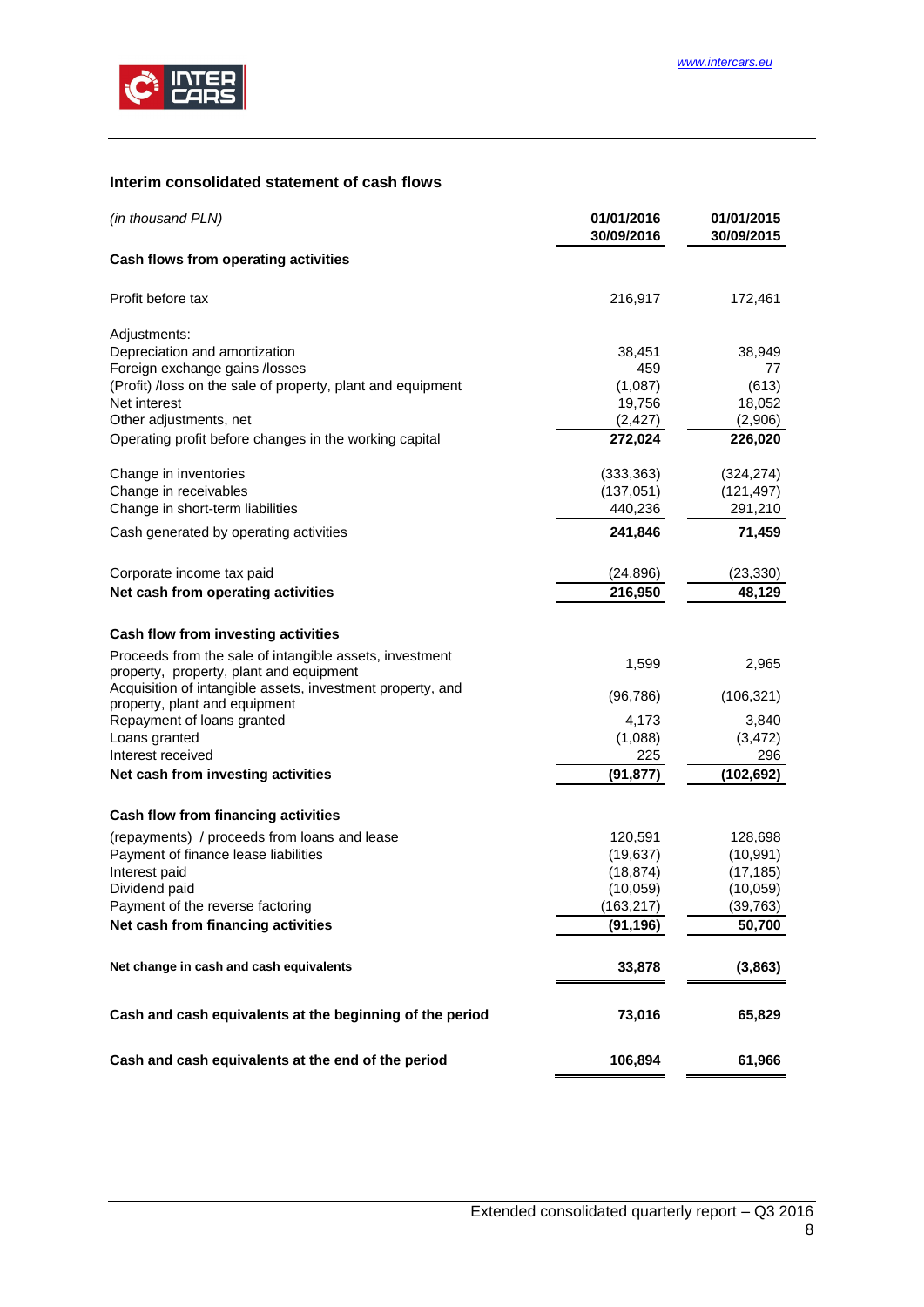

# <span id="page-7-0"></span>**Interim consolidated statement of cash flows**

| Cash flows from operating activities                                                                                                                                                                                          | 172,461             |
|-------------------------------------------------------------------------------------------------------------------------------------------------------------------------------------------------------------------------------|---------------------|
|                                                                                                                                                                                                                               |                     |
| 216,917<br>Profit before tax                                                                                                                                                                                                  |                     |
| Adjustments:                                                                                                                                                                                                                  |                     |
| Depreciation and amortization<br>38,451                                                                                                                                                                                       | 38,949              |
| Foreign exchange gains /losses<br>459                                                                                                                                                                                         | 77                  |
| (Profit) /loss on the sale of property, plant and equipment<br>(1,087)                                                                                                                                                        | (613)               |
| Net interest<br>19,756                                                                                                                                                                                                        | 18,052              |
| Other adjustments, net<br>(2, 427)                                                                                                                                                                                            | (2,906)             |
| Operating profit before changes in the working capital<br>272,024                                                                                                                                                             | 226,020             |
| (333, 363)<br>Change in inventories                                                                                                                                                                                           | (324, 274)          |
| Change in receivables<br>(137,051)                                                                                                                                                                                            | (121, 497)          |
| Change in short-term liabilities<br>440,236                                                                                                                                                                                   | 291,210             |
| 241,846<br>Cash generated by operating activities                                                                                                                                                                             | 71,459              |
| Corporate income tax paid<br>(24, 896)                                                                                                                                                                                        | (23, 330)           |
| Net cash from operating activities<br>216,950                                                                                                                                                                                 | 48,129              |
| Cash flow from investing activities<br>Proceeds from the sale of intangible assets, investment<br>1,599<br>property, property, plant and equipment<br>Acquisition of intangible assets, investment property, and<br>(96, 786) | 2,965<br>(106, 321) |
| property, plant and equipment                                                                                                                                                                                                 |                     |
| 4,173<br>Repayment of loans granted<br>(1,088)                                                                                                                                                                                | 3,840<br>(3, 472)   |
| Loans granted<br>Interest received<br>225                                                                                                                                                                                     | 296                 |
| Net cash from investing activities<br>(91, 877)                                                                                                                                                                               | (102, 692)          |
|                                                                                                                                                                                                                               |                     |
| Cash flow from financing activities                                                                                                                                                                                           |                     |
| (repayments) / proceeds from loans and lease<br>120,591                                                                                                                                                                       | 128,698             |
| Payment of finance lease liabilities<br>(19, 637)                                                                                                                                                                             | (10, 991)           |
| Interest paid<br>(18, 874)                                                                                                                                                                                                    | (17, 185)           |
| Dividend paid<br>(10,059)                                                                                                                                                                                                     | (10,059)            |
| (163, 217)<br>Payment of the reverse factoring                                                                                                                                                                                | (39, 763)           |
| Net cash from financing activities<br>(91, 196)                                                                                                                                                                               | 50,700              |
| Net change in cash and cash equivalents<br>33,878                                                                                                                                                                             | (3,863)             |
| Cash and cash equivalents at the beginning of the period<br>73,016                                                                                                                                                            | 65,829              |
| Cash and cash equivalents at the end of the period<br>106,894                                                                                                                                                                 | 61,966              |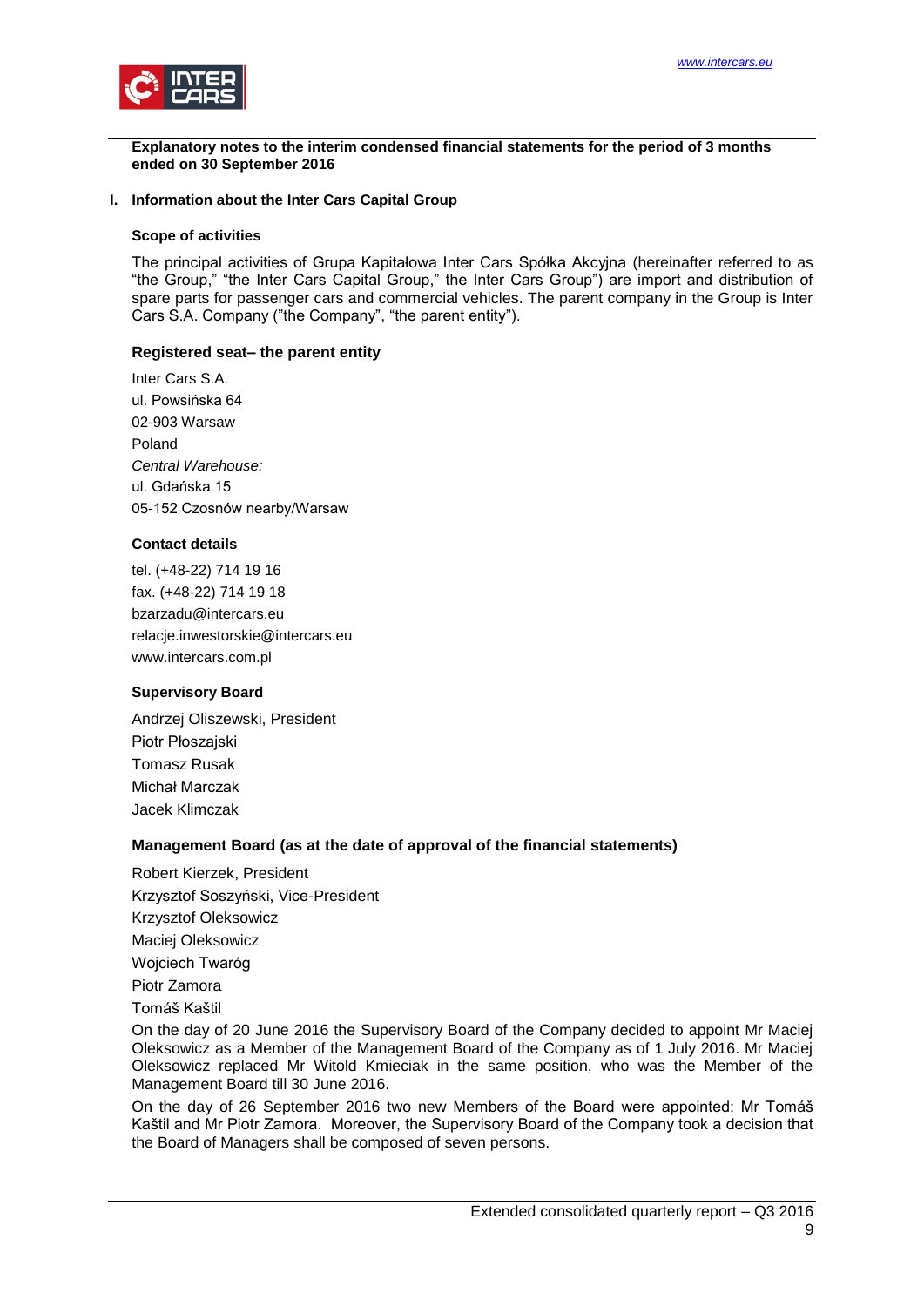

<span id="page-8-0"></span>**Explanatory notes to the interim condensed financial statements for the period of 3 months ended on 30 September 2016**

#### <span id="page-8-1"></span>**I. Information about the Inter Cars Capital Group**

#### **Scope of activities**

The principal activities of Grupa Kapitałowa Inter Cars Spółka Akcyjna (hereinafter referred to as "the Group," "the Inter Cars Capital Group," the Inter Cars Group") are import and distribution of spare parts for passenger cars and commercial vehicles. The parent company in the Group is Inter Cars S.A. Company ("the Company", "the parent entity").

#### **Registered seat– the parent entity**

Inter Cars S.A. ul. Powsińska 64 02-903 Warsaw Poland *Central Warehouse:* ul. Gdańska 15 05-152 Czosnów nearby/Warsaw

#### **Contact details**

tel. (+48-22) 714 19 16 fax. (+48-22) 714 19 18 bzarzadu@intercars.eu relacje.inwestorskie@intercars.eu www.intercars.com.pl

#### **Supervisory Board**

Andrzej Oliszewski, President Piotr Płoszajski Tomasz Rusak Michał Marczak Jacek Klimczak

#### **Management Board (as at the date of approval of the financial statements)**

Robert Kierzek, President Krzysztof Soszyński, Vice-President Krzysztof Oleksowicz Maciej Oleksowicz Wojciech Twaróg Piotr Zamora Tomáš Kaštil

On the day of 20 June 2016 the Supervisory Board of the Company decided to appoint Mr Maciej Oleksowicz as a Member of the Management Board of the Company as of 1 July 2016. Mr Maciej Oleksowicz replaced Mr Witold Kmieciak in the same position, who was the Member of the Management Board till 30 June 2016.

On the day of 26 September 2016 two new Members of the Board were appointed: Mr Tomáš Kaštil and Mr Piotr Zamora. Moreover, the Supervisory Board of the Company took a decision that the Board of Managers shall be composed of seven persons.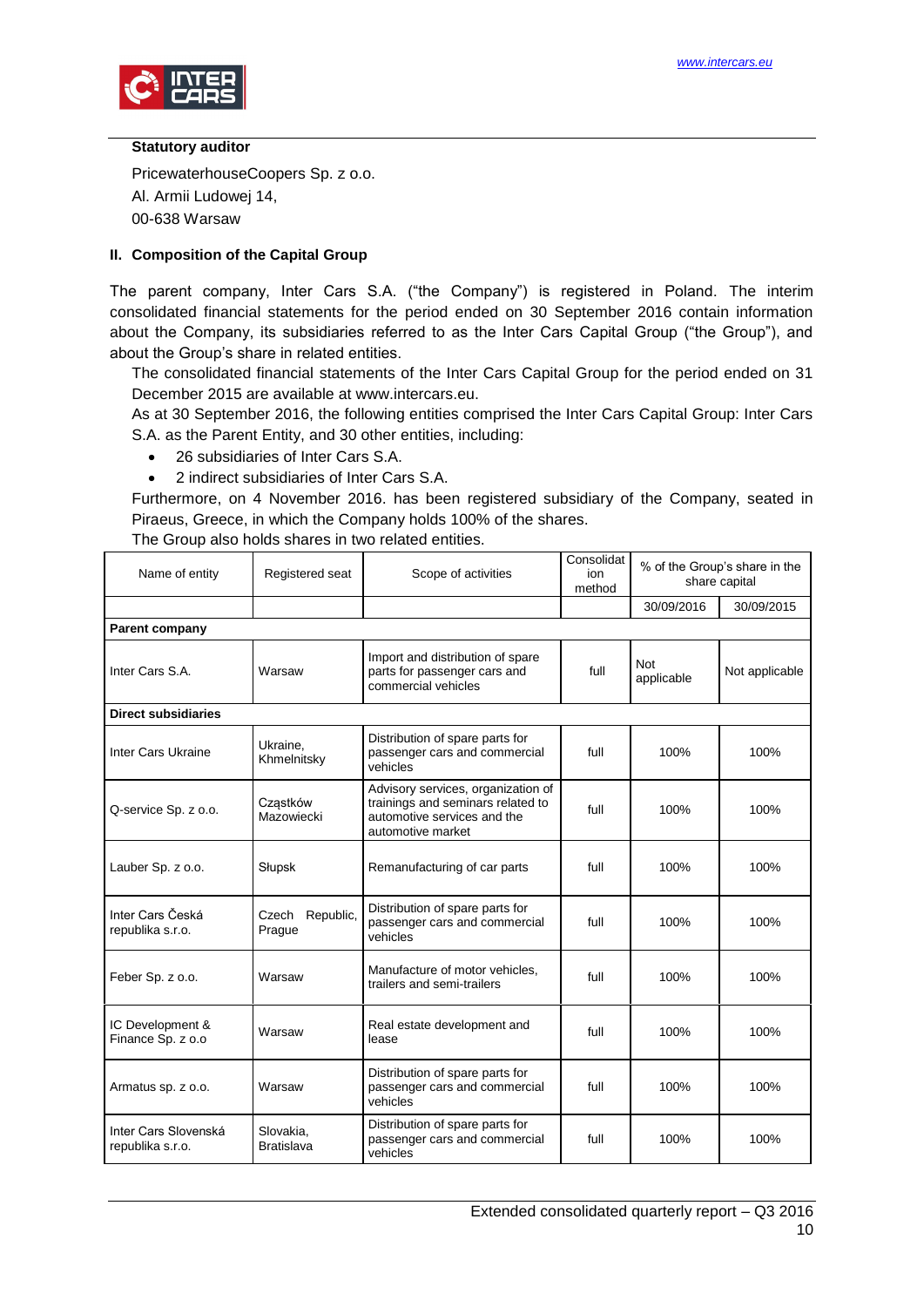

#### **Statutory auditor**

PricewaterhouseCoopers Sp. z o.o. Al. Armii Ludowej 14, 00-638 Warsaw

## <span id="page-9-0"></span>**II. Composition of the Capital Group**

The parent company, Inter Cars S.A. ("the Company") is registered in Poland. The interim consolidated financial statements for the period ended on 30 September 2016 contain information about the Company, its subsidiaries referred to as the Inter Cars Capital Group ("the Group"), and about the Group's share in related entities.

The consolidated financial statements of the Inter Cars Capital Group for the period ended on 31 December 2015 are available at www.intercars.eu.

As at 30 September 2016, the following entities comprised the Inter Cars Capital Group: Inter Cars S.A. as the Parent Entity, and 30 other entities, including:

- 26 subsidiaries of Inter Cars S.A.
- 2 indirect subsidiaries of Inter Cars S.A.

Furthermore, on 4 November 2016. has been registered subsidiary of the Company, seated in Piraeus, Greece, in which the Company holds 100% of the shares.

| Name of entity                           | Registered seat                | Scope of activities                                                                                                         | Consolidat<br>ion<br>method | % of the Group's share in the<br>share capital |                |
|------------------------------------------|--------------------------------|-----------------------------------------------------------------------------------------------------------------------------|-----------------------------|------------------------------------------------|----------------|
|                                          |                                |                                                                                                                             |                             | 30/09/2016                                     | 30/09/2015     |
| Parent company                           |                                |                                                                                                                             |                             |                                                |                |
| Inter Cars S.A.                          | Warsaw                         | Import and distribution of spare<br>parts for passenger cars and<br>commercial vehicles                                     | full                        | <b>Not</b><br>applicable                       | Not applicable |
| <b>Direct subsidiaries</b>               |                                |                                                                                                                             |                             |                                                |                |
| Inter Cars Ukraine                       | Ukraine.<br>Khmelnitsky        | Distribution of spare parts for<br>passenger cars and commercial<br>vehicles                                                | full                        | 100%                                           | 100%           |
| Q-service Sp. z o.o.                     | Cząstków<br>Mazowiecki         | Advisory services, organization of<br>trainings and seminars related to<br>automotive services and the<br>automotive market | full                        | 100%                                           | 100%           |
| Lauber Sp. z o.o.                        | Słupsk                         | Remanufacturing of car parts                                                                                                | full                        | 100%                                           | 100%           |
| Inter Cars Česká<br>republika s.r.o.     | Republic,<br>Czech<br>Prague   | Distribution of spare parts for<br>passenger cars and commercial<br>vehicles                                                | full                        | 100%                                           | 100%           |
| Feber Sp. z o.o.                         | Warsaw                         | Manufacture of motor vehicles.<br>trailers and semi-trailers                                                                | full                        | 100%                                           | 100%           |
| IC Development &<br>Finance Sp. z o.o    | Warsaw                         | Real estate development and<br>lease                                                                                        | full                        | 100%                                           | 100%           |
| Armatus sp. z o.o.                       | Warsaw                         | Distribution of spare parts for<br>passenger cars and commercial<br>vehicles                                                | full                        | 100%                                           | 100%           |
| Inter Cars Slovenská<br>republika s.r.o. | Slovakia.<br><b>Bratislava</b> | Distribution of spare parts for<br>passenger cars and commercial<br>vehicles                                                | full                        | 100%                                           | 100%           |

The Group also holds shares in two related entities.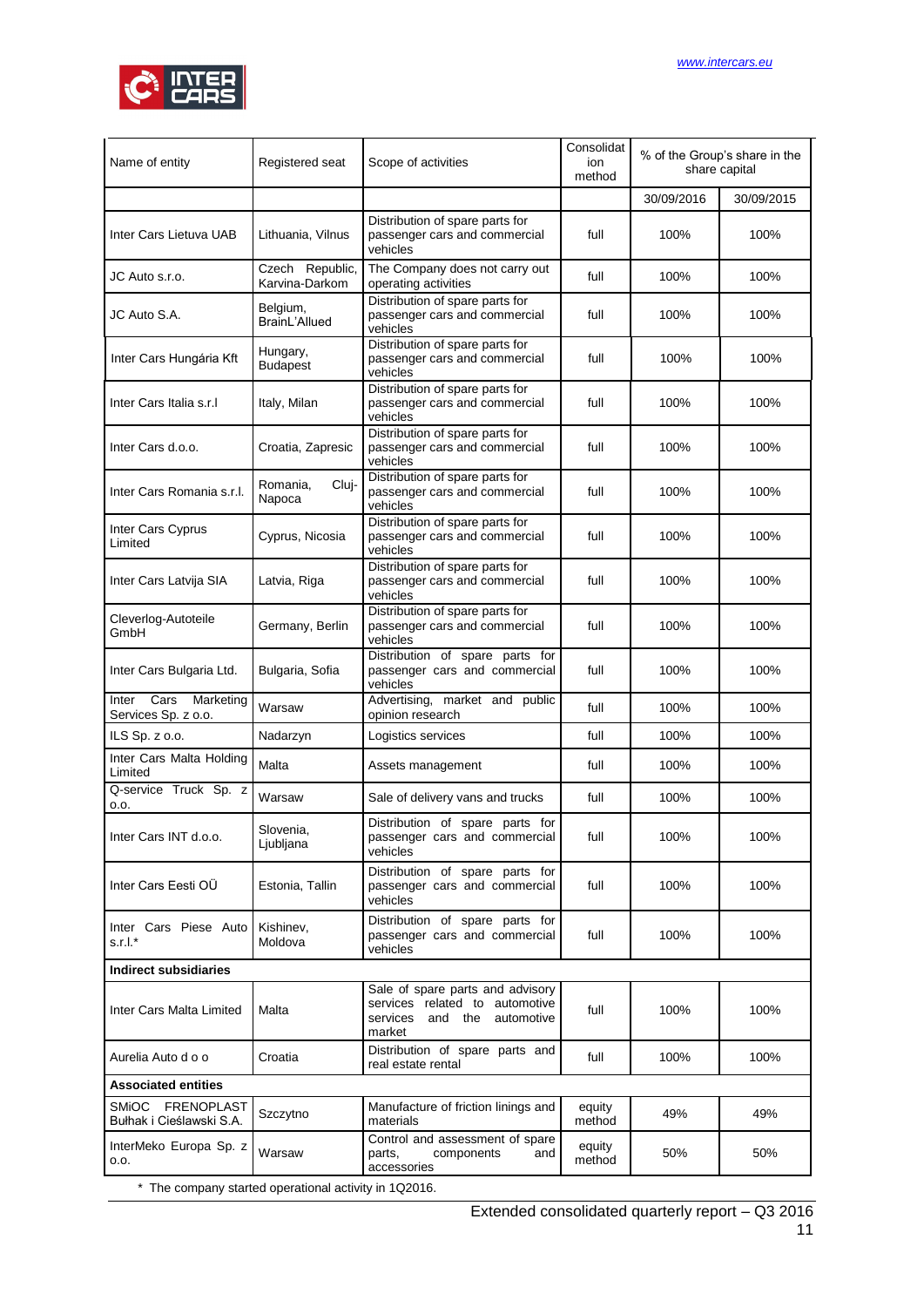

| Name of entity                                        | Registered seat                   | Scope of activities                                                                                               | Consolidat<br>% of the Group's share in the<br>ion<br>share capital<br>method |            |            |  |
|-------------------------------------------------------|-----------------------------------|-------------------------------------------------------------------------------------------------------------------|-------------------------------------------------------------------------------|------------|------------|--|
|                                                       |                                   |                                                                                                                   |                                                                               | 30/09/2016 | 30/09/2015 |  |
| Inter Cars Lietuva UAB                                | Lithuania, Vilnus                 | Distribution of spare parts for<br>passenger cars and commercial<br>vehicles                                      | full                                                                          | 100%       | 100%       |  |
| JC Auto s.r.o.                                        | Czech Republic,<br>Karvina-Darkom | The Company does not carry out<br>operating activities                                                            | full                                                                          | 100%       | 100%       |  |
| JC Auto S.A.                                          | Belgium,<br>BrainL'Allued         | Distribution of spare parts for<br>passenger cars and commercial<br>vehicles                                      | full                                                                          | 100%       | 100%       |  |
| Inter Cars Hungária Kft                               | Hungary,<br><b>Budapest</b>       | Distribution of spare parts for<br>passenger cars and commercial<br>vehicles                                      | full                                                                          | 100%       | 100%       |  |
| Inter Cars Italia s.r.l                               | Italy, Milan                      | Distribution of spare parts for<br>passenger cars and commercial<br>vehicles                                      | full                                                                          | 100%       | 100%       |  |
| Inter Cars d.o.o.                                     | Croatia, Zapresic                 | Distribution of spare parts for<br>passenger cars and commercial<br>vehicles                                      | full                                                                          | 100%       | 100%       |  |
| Inter Cars Romania s.r.l.                             | Cluj-<br>Romania,<br>Napoca       | Distribution of spare parts for<br>passenger cars and commercial<br>vehicles                                      | full                                                                          | 100%       | 100%       |  |
| Inter Cars Cyprus<br>Limited                          | Cyprus, Nicosia                   | Distribution of spare parts for<br>passenger cars and commercial<br>vehicles                                      | full                                                                          | 100%       | 100%       |  |
| Inter Cars Latvija SIA                                | Latvia, Riga                      | Distribution of spare parts for<br>passenger cars and commercial<br>vehicles                                      | full                                                                          | 100%       | 100%       |  |
| Cleverlog-Autoteile<br>GmbH                           | Germany, Berlin                   | Distribution of spare parts for<br>passenger cars and commercial<br>vehicles                                      | full                                                                          | 100%       | 100%       |  |
| Inter Cars Bulgaria Ltd.                              | Bulgaria, Sofia                   | Distribution of spare parts for<br>passenger cars and commercial<br>vehicles                                      | full                                                                          | 100%       | 100%       |  |
| Cars<br>Marketing<br>Inter<br>Services Sp. z o.o.     | Warsaw                            | Advertising, market and public<br>opinion research                                                                | full                                                                          | 100%       | 100%       |  |
| ILS Sp. z o.o.                                        | Nadarzyn                          | Logistics services                                                                                                | full                                                                          | 100%       | 100%       |  |
| Inter Cars Malta Holding<br>Limited                   | Malta                             | Assets management                                                                                                 | full                                                                          | 100%       | 100%       |  |
| Q-service Truck Sp. z<br>0.0.                         | Warsaw                            | Sale of delivery vans and trucks                                                                                  | full                                                                          | 100%       | 100%       |  |
| Inter Cars INT d.o.o.                                 | Slovenia,<br>Ljubljana            | Distribution of spare parts for<br>passenger cars and commercial<br>vehicles                                      | full                                                                          | 100%       | 100%       |  |
| Inter Cars Eesti OÜ                                   | Estonia, Tallin                   | Distribution of spare parts for<br>passenger cars and commercial<br>vehicles                                      | full                                                                          | 100%       | 100%       |  |
| Inter Cars Piese Auto<br>s.r.l.*                      | Kishinev,<br>Moldova              | Distribution of spare parts for<br>passenger cars and commercial<br>vehicles                                      | full                                                                          | 100%       | 100%       |  |
| <b>Indirect subsidiaries</b>                          |                                   |                                                                                                                   |                                                                               |            |            |  |
| Inter Cars Malta Limited                              | Malta                             | Sale of spare parts and advisory<br>services related to automotive<br>and the<br>automotive<br>services<br>market | full                                                                          | 100%       | 100%       |  |
| Aurelia Auto d o o                                    | Croatia                           | Distribution of spare parts and<br>real estate rental                                                             | full                                                                          | 100%       | 100%       |  |
| <b>Associated entities</b>                            |                                   |                                                                                                                   |                                                                               |            |            |  |
| SMIOC FRENOPLAST<br>Bułhak i Cieślawski S.A.          | Szczytno                          | Manufacture of friction linings and<br>materials                                                                  | equity<br>method                                                              | 49%        | 49%        |  |
| InterMeko Europa Sp. z<br>0.0.                        | Warsaw                            | Control and assessment of spare<br>components<br>parts,<br>and<br>accessories                                     | equity<br>method                                                              | 50%        | 50%        |  |
| * The company started operational activity in 1Q2016. |                                   |                                                                                                                   |                                                                               |            |            |  |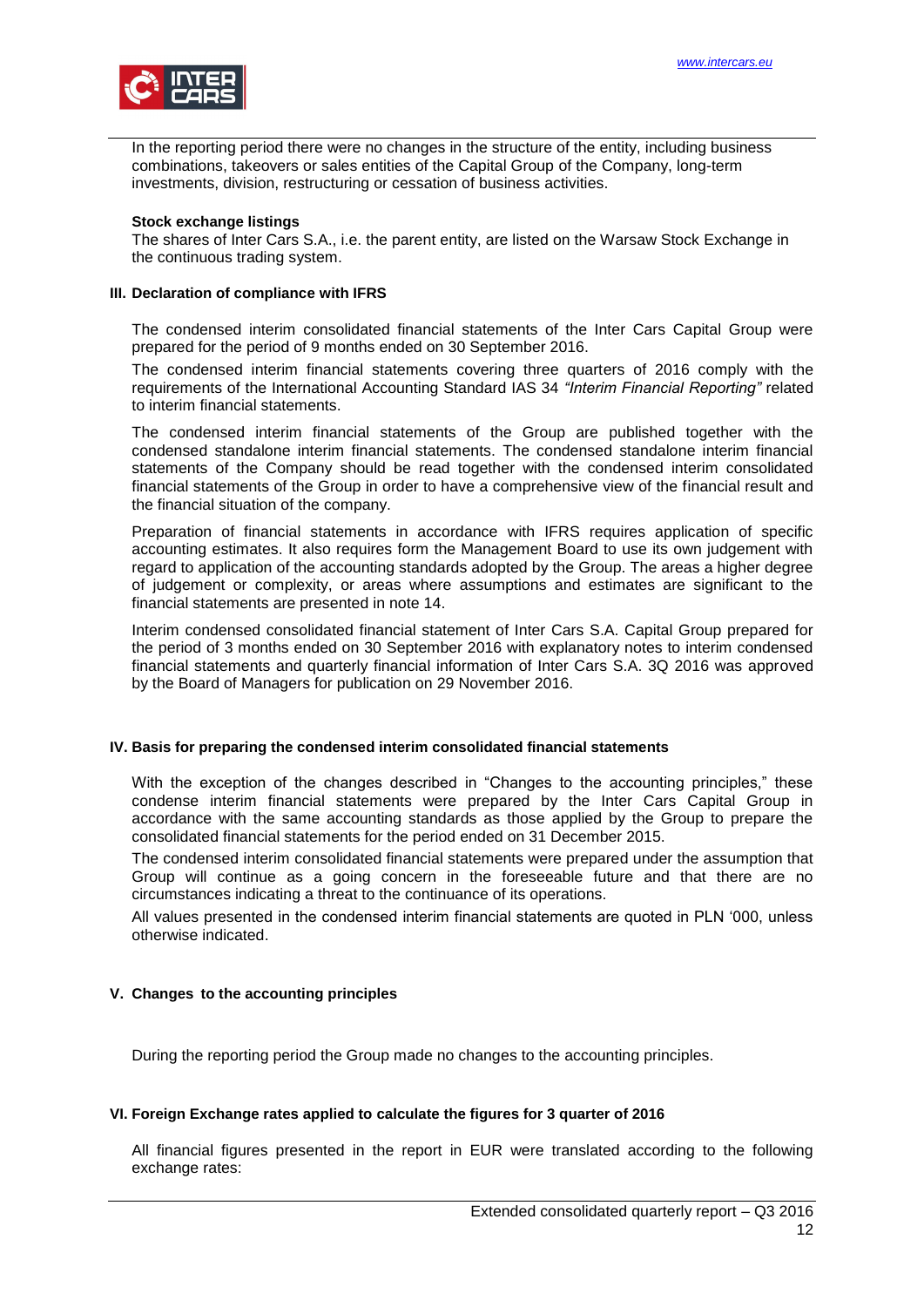

In the reporting period there were no changes in the structure of the entity, including business combinations, takeovers or sales entities of the Capital Group of the Company, long-term investments, division, restructuring or cessation of business activities.

#### **Stock exchange listings**

The shares of Inter Cars S.A., i.e. the parent entity, are listed on the Warsaw Stock Exchange in the continuous trading system.

#### <span id="page-11-0"></span>**III. Declaration of compliance with IFRS**

The condensed interim consolidated financial statements of the Inter Cars Capital Group were prepared for the period of 9 months ended on 30 September 2016.

The condensed interim financial statements covering three quarters of 2016 comply with the requirements of the International Accounting Standard IAS 34 *"Interim Financial Reporting"* related to interim financial statements.

The condensed interim financial statements of the Group are published together with the condensed standalone interim financial statements. The condensed standalone interim financial statements of the Company should be read together with the condensed interim consolidated financial statements of the Group in order to have a comprehensive view of the financial result and the financial situation of the company.

Preparation of financial statements in accordance with IFRS requires application of specific accounting estimates. It also requires form the Management Board to use its own judgement with regard to application of the accounting standards adopted by the Group. The areas a higher degree of judgement or complexity, or areas where assumptions and estimates are significant to the financial statements are presented in note 14.

Interim condensed consolidated financial statement of Inter Cars S.A. Capital Group prepared for the period of 3 months ended on 30 September 2016 with explanatory notes to interim condensed financial statements and quarterly financial information of Inter Cars S.A. 3Q 2016 was approved by the Board of Managers for publication on 29 November 2016.

## <span id="page-11-1"></span>**IV. Basis for preparing the condensed interim consolidated financial statements**

With the exception of the changes described in "Changes to the accounting principles," these condense interim financial statements were prepared by the Inter Cars Capital Group in accordance with the same accounting standards as those applied by the Group to prepare the consolidated financial statements for the period ended on 31 December 2015.

The condensed interim consolidated financial statements were prepared under the assumption that Group will continue as a going concern in the foreseeable future and that there are no circumstances indicating a threat to the continuance of its operations.

All values presented in the condensed interim financial statements are quoted in PLN '000, unless otherwise indicated.

## <span id="page-11-2"></span>**V. Changes to the accounting principles**

During the reporting period the Group made no changes to the accounting principles.

#### <span id="page-11-3"></span>**VI. Foreign Exchange rates applied to calculate the figures for 3 quarter of 2016**

All financial figures presented in the report in EUR were translated according to the following exchange rates: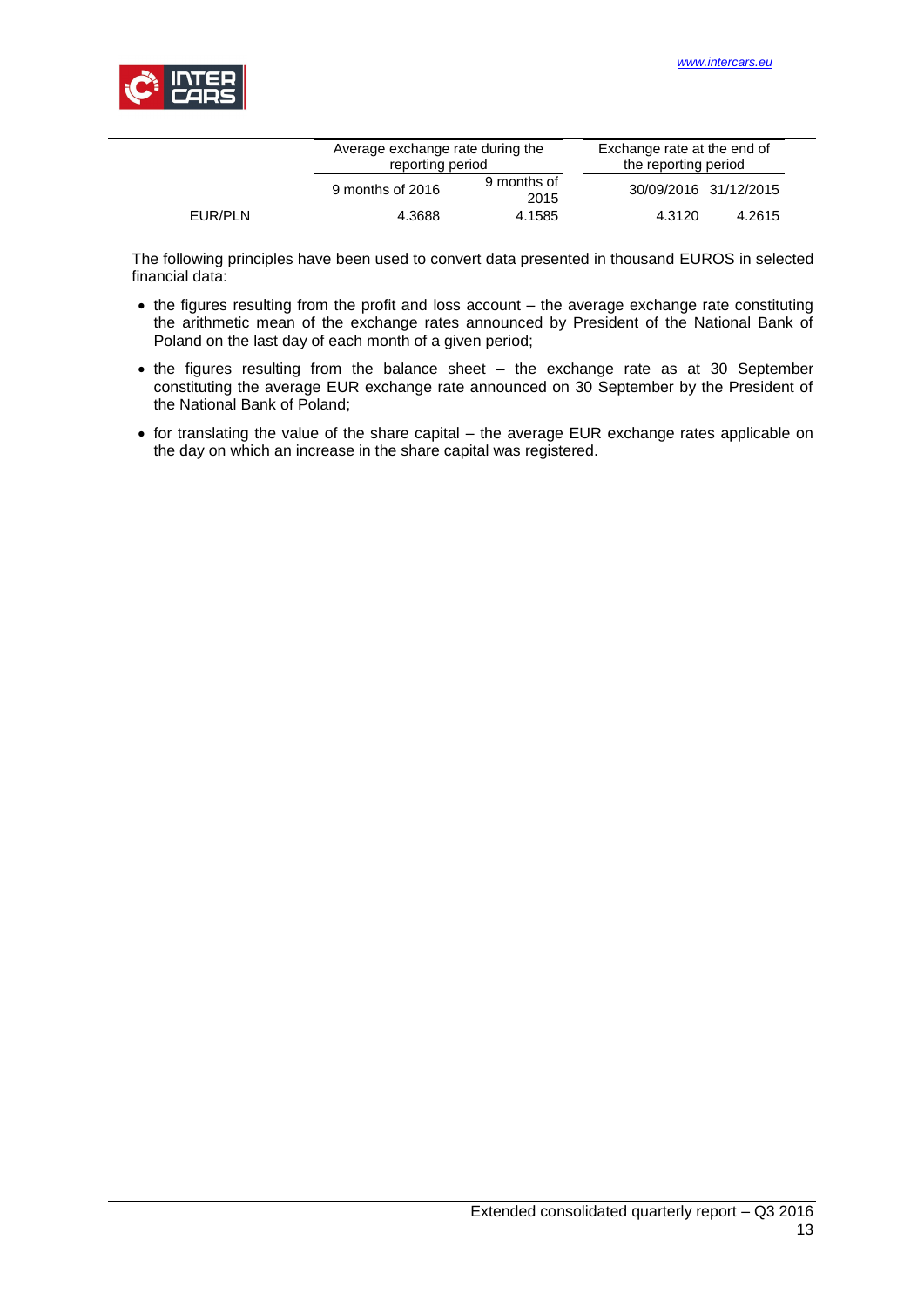

|         | Average exchange rate during the<br>reporting period |                     | Exchange rate at the end of<br>the reporting period |        |  |
|---------|------------------------------------------------------|---------------------|-----------------------------------------------------|--------|--|
|         | 9 months of 2016                                     | 9 months of<br>2015 | 30/09/2016 31/12/2015                               |        |  |
| EUR/PLN | 4.3688                                               | 4.1585              | 4.3120                                              | 4.2615 |  |

The following principles have been used to convert data presented in thousand EUROS in selected financial data:

- the figures resulting from the profit and loss account the average exchange rate constituting the arithmetic mean of the exchange rates announced by President of the National Bank of Poland on the last day of each month of a given period;
- the figures resulting from the balance sheet the exchange rate as at 30 September constituting the average EUR exchange rate announced on 30 September by the President of the National Bank of Poland;
- for translating the value of the share capital the average EUR exchange rates applicable on the day on which an increase in the share capital was registered.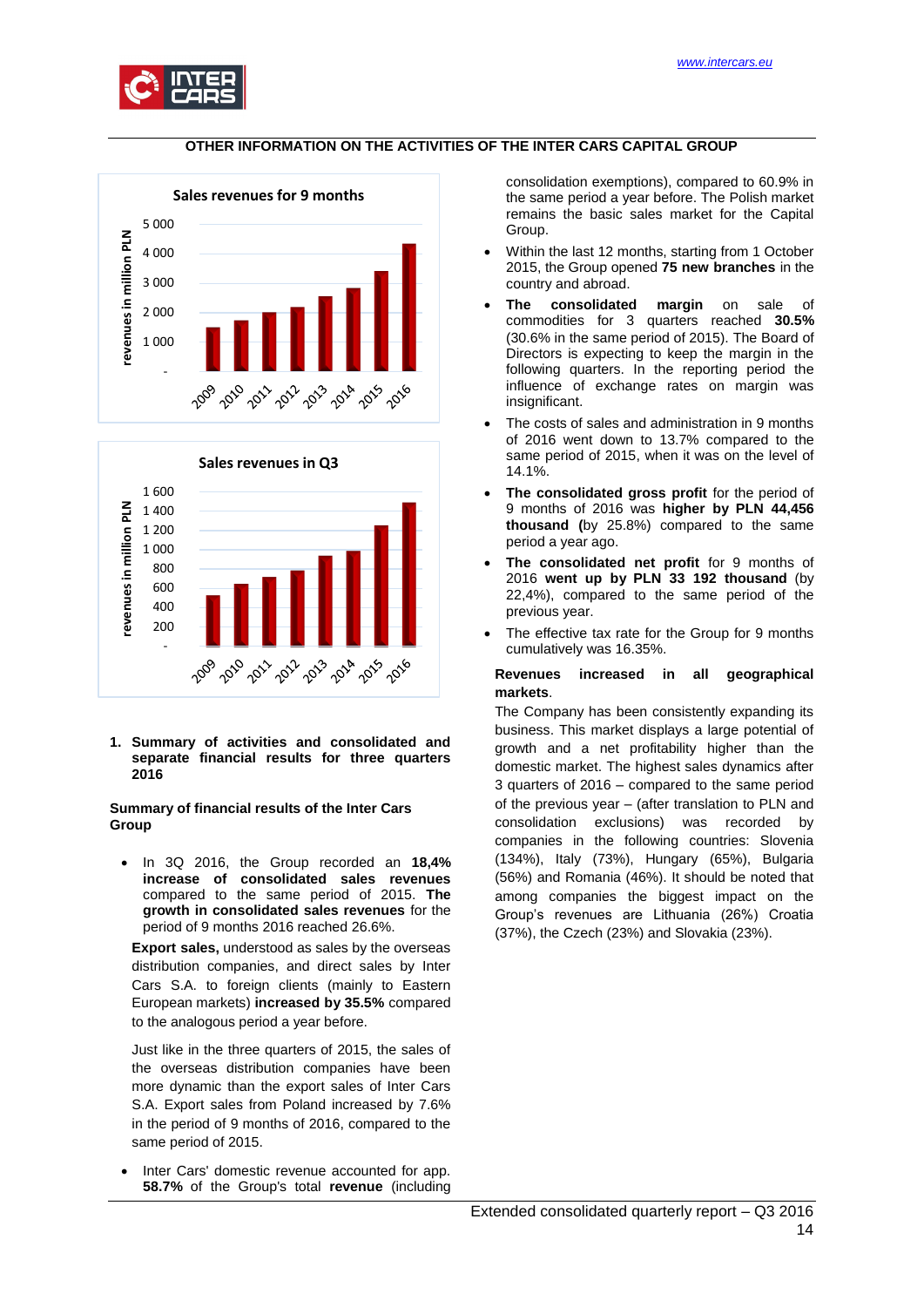

### **OTHER INFORMATION ON THE ACTIVITIES OF THE INTER CARS CAPITAL GROUP**

<span id="page-13-0"></span>



<span id="page-13-1"></span>**1. Summary of activities and consolidated and separate financial results for three quarters 2016**

#### **Summary of financial results of the Inter Cars Group**

 In 3Q 2016, the Group recorded an **18,4% increase of consolidated sales revenues** compared to the same period of 2015. **The growth in consolidated sales revenues** for the period of 9 months 2016 reached 26.6%.

**Export sales,** understood as sales by the overseas distribution companies, and direct sales by Inter Cars S.A. to foreign clients (mainly to Eastern European markets) **increased by 35.5%** compared to the analogous period a year before.

Just like in the three quarters of 2015, the sales of the overseas distribution companies have been more dynamic than the export sales of Inter Cars S.A. Export sales from Poland increased by 7.6% in the period of 9 months of 2016, compared to the same period of 2015.

 Inter Cars' domestic revenue accounted for app. **58.7%** of the Group's total **revenue** (including consolidation exemptions), compared to 60.9% in the same period a year before. The Polish market remains the basic sales market for the Capital Group.

- Within the last 12 months, starting from 1 October 2015, the Group opened **75 new branches** in the country and abroad.
- **The consolidated margin** on sale of commodities for 3 quarters reached **30.5%** (30.6% in the same period of 2015). The Board of Directors is expecting to keep the margin in the following quarters. In the reporting period the influence of exchange rates on margin was insignificant.
- The costs of sales and administration in 9 months of 2016 went down to 13.7% compared to the same period of 2015, when it was on the level of 14.1%.
- **The consolidated gross profit** for the period of 9 months of 2016 was **higher by PLN 44,456 thousand (**by 25.8%) compared to the same period a year ago.
- **The consolidated net profit** for 9 months of 2016 **went up by PLN 33 192 thousand** (by 22,4%), compared to the same period of the previous year.
- The effective tax rate for the Group for 9 months cumulatively was 16.35%.

#### **Revenues increased in all geographical markets**.

The Company has been consistently expanding its business. This market displays a large potential of growth and a net profitability higher than the domestic market. The highest sales dynamics after 3 quarters of 2016 – compared to the same period of the previous year – (after translation to PLN and consolidation exclusions) was recorded by companies in the following countries: Slovenia (134%), Italy (73%), Hungary (65%), Bulgaria (56%) and Romania (46%). It should be noted that among companies the biggest impact on the Group's revenues are Lithuania (26%) Croatia (37%), the Czech (23%) and Slovakia (23%).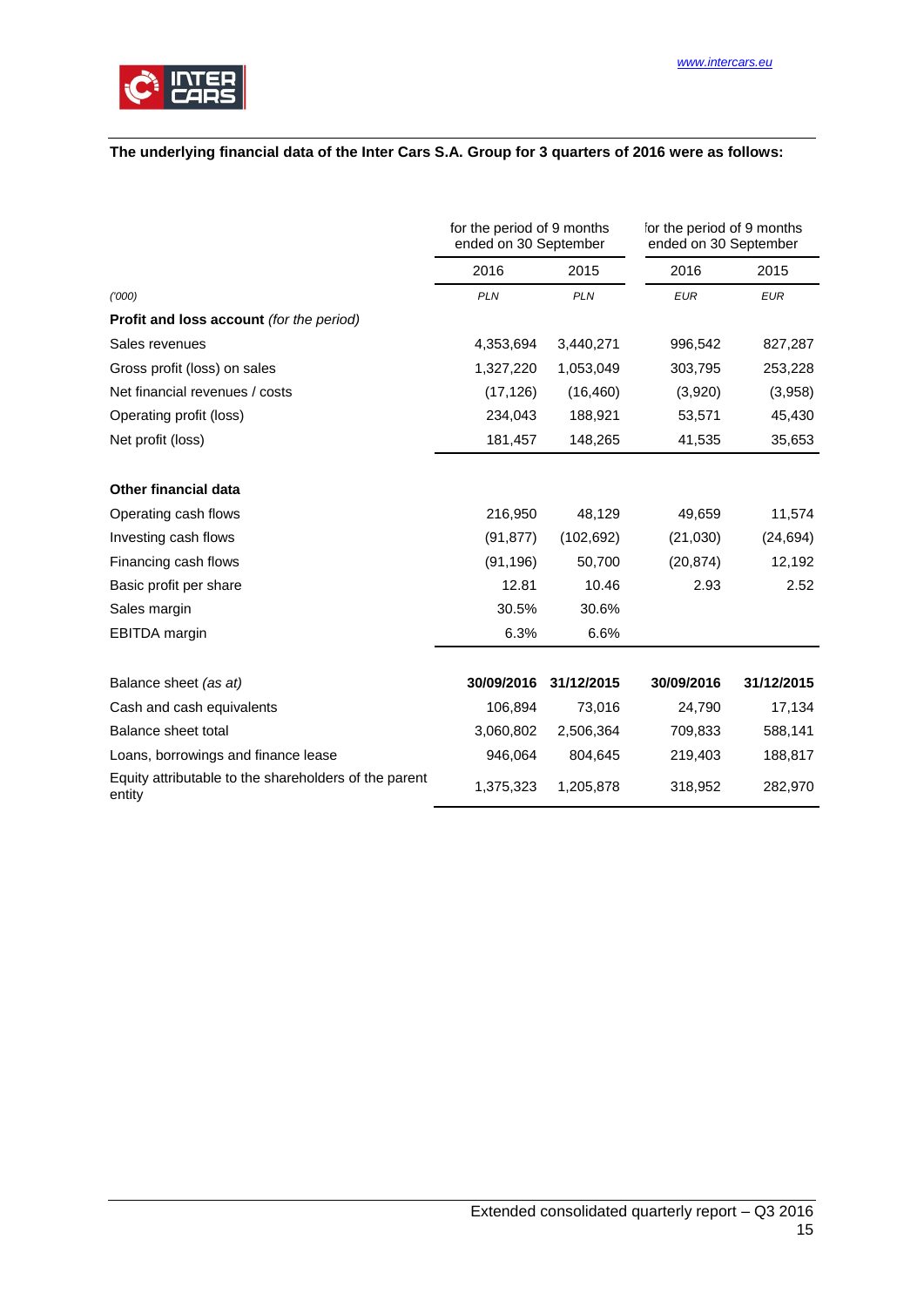

# **The underlying financial data of the Inter Cars S.A. Group for 3 quarters of 2016 were as follows:**

|                                                                 | for the period of 9 months<br>ended on 30 September |            | for the period of 9 months<br>ended on 30 September |            |
|-----------------------------------------------------------------|-----------------------------------------------------|------------|-----------------------------------------------------|------------|
|                                                                 | 2016                                                | 2015       | 2016                                                | 2015       |
| (000)                                                           | <b>PLN</b>                                          | <b>PLN</b> | <b>EUR</b>                                          | <b>EUR</b> |
| <b>Profit and loss account</b> (for the period)                 |                                                     |            |                                                     |            |
| Sales revenues                                                  | 4,353,694                                           | 3,440,271  | 996,542                                             | 827,287    |
| Gross profit (loss) on sales                                    | 1,327,220                                           | 1,053,049  | 303,795                                             | 253,228    |
| Net financial revenues / costs                                  | (17, 126)                                           | (16, 460)  | (3,920)                                             | (3,958)    |
| Operating profit (loss)                                         | 234,043                                             | 188,921    | 53,571                                              | 45,430     |
| Net profit (loss)                                               | 181,457                                             | 148,265    | 41,535                                              | 35,653     |
| Other financial data                                            |                                                     |            |                                                     |            |
| Operating cash flows                                            | 216,950                                             | 48,129     | 49,659                                              | 11,574     |
| Investing cash flows                                            | (91, 877)                                           | (102, 692) | (21,030)                                            | (24, 694)  |
| Financing cash flows                                            | (91, 196)                                           | 50,700     | (20, 874)                                           | 12,192     |
| Basic profit per share                                          | 12.81                                               | 10.46      | 2.93                                                | 2.52       |
| Sales margin                                                    | 30.5%                                               | 30.6%      |                                                     |            |
| <b>EBITDA</b> margin                                            | 6.3%                                                | 6.6%       |                                                     |            |
| Balance sheet (as at)                                           | 30/09/2016                                          | 31/12/2015 | 30/09/2016                                          | 31/12/2015 |
| Cash and cash equivalents                                       | 106,894                                             | 73,016     | 24,790                                              | 17,134     |
| Balance sheet total                                             | 3,060,802                                           | 2,506,364  | 709,833                                             | 588,141    |
| Loans, borrowings and finance lease                             | 946,064                                             | 804,645    | 219,403                                             | 188,817    |
| Equity attributable to the shareholders of the parent<br>entity | 1,375,323                                           | 1,205,878  | 318,952                                             | 282,970    |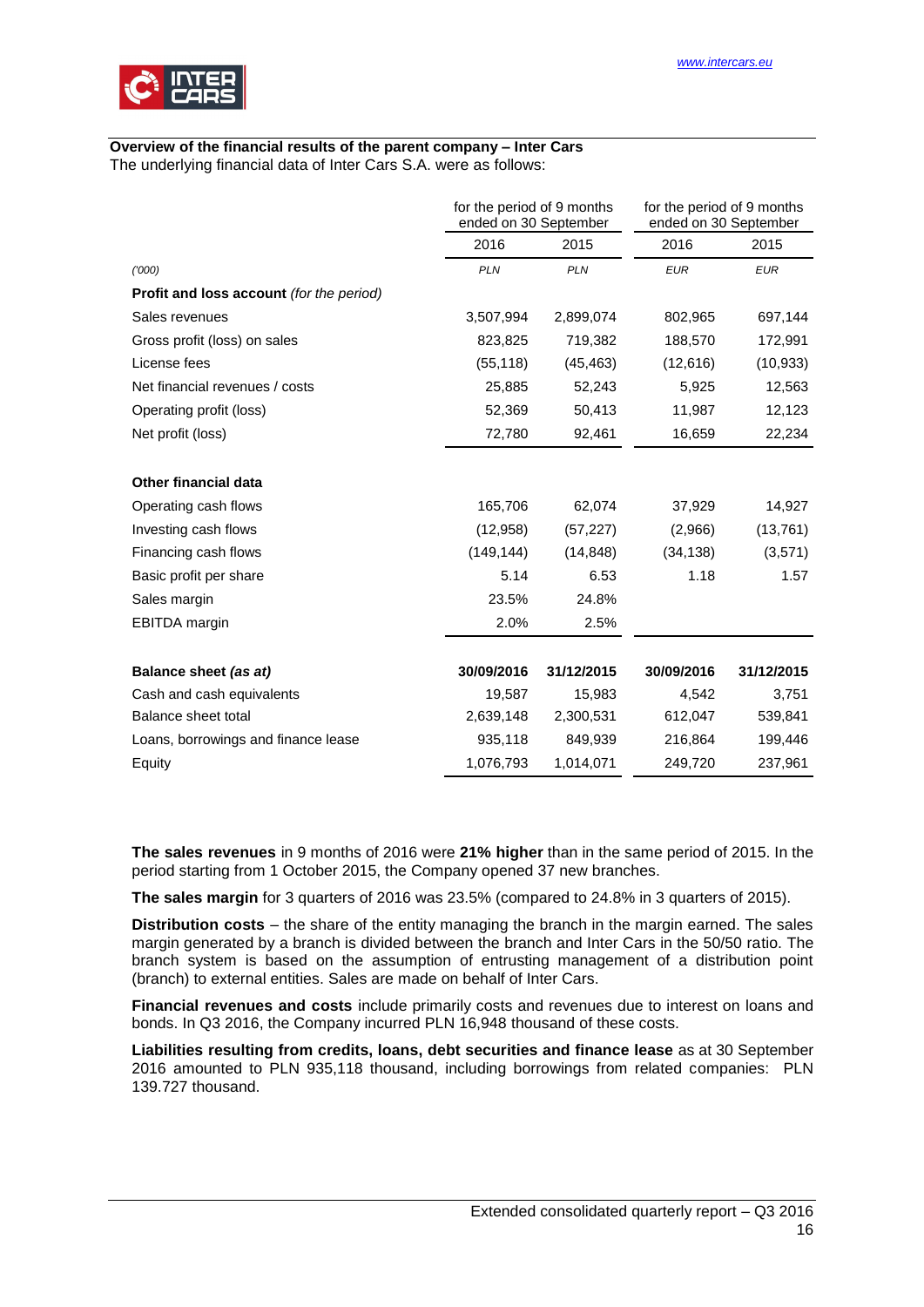

#### **Overview of the financial results of the parent company – Inter Cars** The underlying financial data of Inter Cars S.A. were as follows:

|                                                 | for the period of 9 months<br>ended on 30 September |            | for the period of 9 months<br>ended on 30 September |            |
|-------------------------------------------------|-----------------------------------------------------|------------|-----------------------------------------------------|------------|
|                                                 | 2016                                                | 2015       | 2016                                                | 2015       |
| (000)                                           | <b>PLN</b>                                          | <b>PLN</b> | <b>EUR</b>                                          | <b>EUR</b> |
| <b>Profit and loss account</b> (for the period) |                                                     |            |                                                     |            |
| Sales revenues                                  | 3,507,994                                           | 2,899,074  | 802,965                                             | 697,144    |
| Gross profit (loss) on sales                    | 823,825                                             | 719,382    | 188,570                                             | 172,991    |
| License fees                                    | (55, 118)                                           | (45, 463)  | (12,616)                                            | (10, 933)  |
| Net financial revenues / costs                  | 25,885                                              | 52,243     | 5,925                                               | 12,563     |
| Operating profit (loss)                         | 52,369                                              | 50,413     | 11,987                                              | 12,123     |
| Net profit (loss)                               | 72,780                                              | 92,461     | 16,659                                              | 22,234     |
| <b>Other financial data</b>                     |                                                     |            |                                                     |            |
| Operating cash flows                            | 165,706                                             | 62,074     | 37,929                                              | 14,927     |
| Investing cash flows                            | (12,958)                                            | (57, 227)  | (2,966)                                             | (13,761)   |
| Financing cash flows                            | (149, 144)                                          | (14, 848)  | (34, 138)                                           | (3,571)    |
| Basic profit per share                          | 5.14                                                | 6.53       | 1.18                                                | 1.57       |
| Sales margin                                    | 23.5%                                               | 24.8%      |                                                     |            |
| <b>EBITDA</b> margin                            | 2.0%                                                | 2.5%       |                                                     |            |
| Balance sheet (as at)                           | 30/09/2016                                          | 31/12/2015 | 30/09/2016                                          | 31/12/2015 |
| Cash and cash equivalents                       | 19,587                                              | 15,983     | 4,542                                               | 3,751      |
| Balance sheet total                             | 2,639,148                                           | 2,300,531  | 612,047                                             | 539,841    |
| Loans, borrowings and finance lease             | 935,118                                             | 849,939    | 216,864                                             | 199,446    |
| Equity                                          | 1,076,793                                           | 1,014,071  | 249,720                                             | 237,961    |

**The sales revenues** in 9 months of 2016 were **21% higher** than in the same period of 2015. In the period starting from 1 October 2015, the Company opened 37 new branches.

**The sales margin** for 3 quarters of 2016 was 23.5% (compared to 24.8% in 3 quarters of 2015).

**Distribution costs** – the share of the entity managing the branch in the margin earned. The sales margin generated by a branch is divided between the branch and Inter Cars in the 50/50 ratio. The branch system is based on the assumption of entrusting management of a distribution point (branch) to external entities. Sales are made on behalf of Inter Cars.

**Financial revenues and costs** include primarily costs and revenues due to interest on loans and bonds. In Q3 2016, the Company incurred PLN 16,948 thousand of these costs.

**Liabilities resulting from credits, loans, debt securities and finance lease** as at 30 September 2016 amounted to PLN 935,118 thousand, including borrowings from related companies: PLN 139.727 thousand.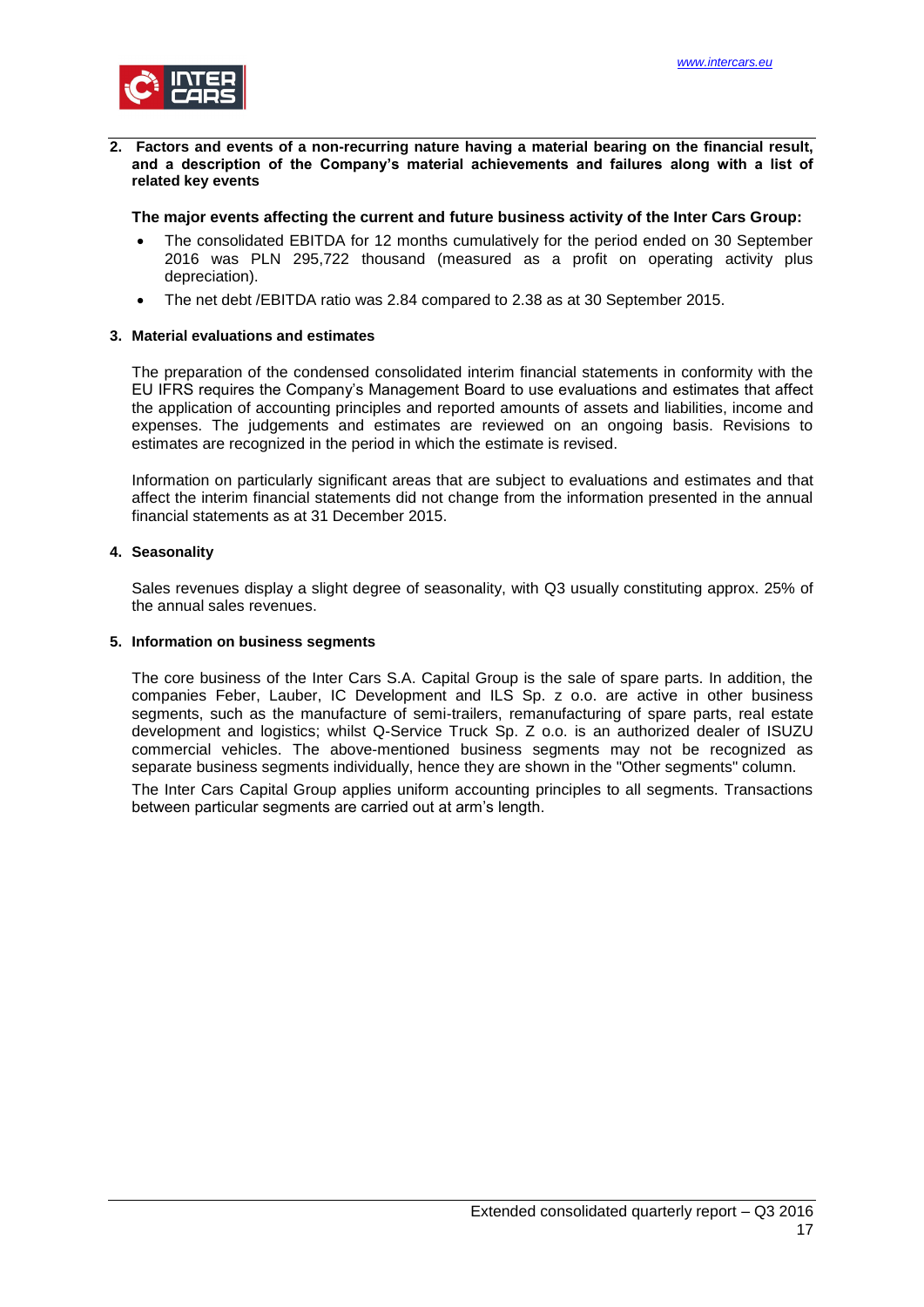

<span id="page-16-0"></span>**2. Factors and events of a non-recurring nature having a material bearing on the financial result, and a description of the Company's material achievements and failures along with a list of related key events**

#### **The major events affecting the current and future business activity of the Inter Cars Group:**

- The consolidated EBITDA for 12 months cumulatively for the period ended on 30 September 2016 was PLN 295,722 thousand (measured as a profit on operating activity plus depreciation).
- The net debt /EBITDA ratio was 2.84 compared to 2.38 as at 30 September 2015.

#### <span id="page-16-1"></span>**3. Material evaluations and estimates**

The preparation of the condensed consolidated interim financial statements in conformity with the EU IFRS requires the Company's Management Board to use evaluations and estimates that affect the application of accounting principles and reported amounts of assets and liabilities, income and expenses. The judgements and estimates are reviewed on an ongoing basis. Revisions to estimates are recognized in the period in which the estimate is revised.

Information on particularly significant areas that are subject to evaluations and estimates and that affect the interim financial statements did not change from the information presented in the annual financial statements as at 31 December 2015.

#### <span id="page-16-2"></span>**4. Seasonality**

Sales revenues display a slight degree of seasonality, with Q3 usually constituting approx. 25% of the annual sales revenues.

#### <span id="page-16-3"></span>**5. Information on business segments**

The core business of the Inter Cars S.A. Capital Group is the sale of spare parts. In addition, the companies Feber, Lauber, IC Development and ILS Sp. z o.o. are active in other business segments, such as the manufacture of semi-trailers, remanufacturing of spare parts, real estate development and logistics; whilst Q-Service Truck Sp. Z o.o. is an authorized dealer of ISUZU commercial vehicles. The above-mentioned business segments may not be recognized as separate business segments individually, hence they are shown in the "Other segments" column. The Inter Cars Capital Group applies uniform accounting principles to all segments. Transactions between particular segments are carried out at arm's length.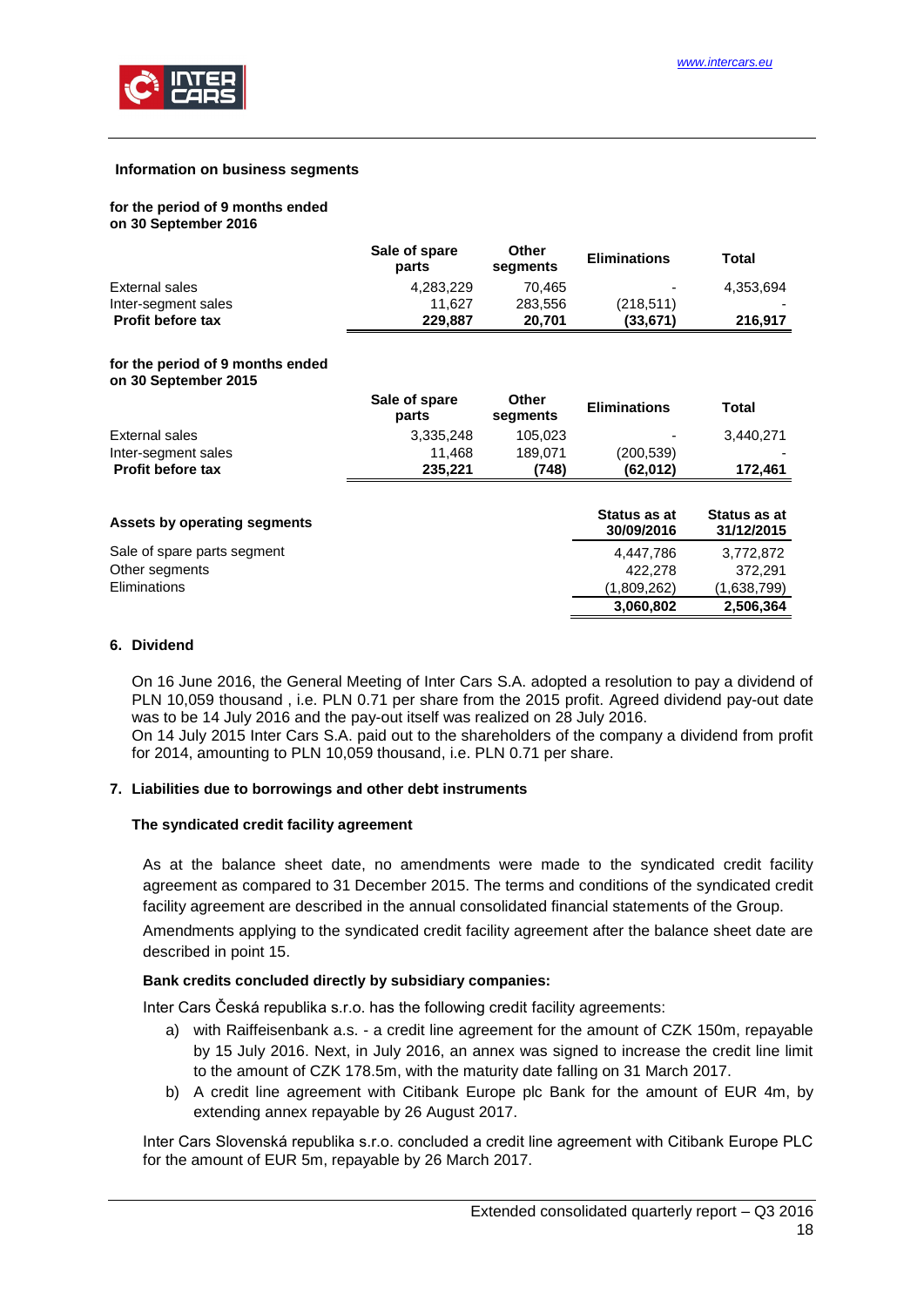

#### **Information on business segments**

#### **for the period of 9 months ended on 30 September 2016**

|                                                          | Sale of spare<br>parts | Other<br>segments | <b>Eliminations</b> | Total        |
|----------------------------------------------------------|------------------------|-------------------|---------------------|--------------|
| External sales                                           | 4,283,229              | 70.465            |                     | 4,353,694    |
| Inter-segment sales                                      | 11.627                 | 283,556           | (218, 511)          |              |
| <b>Profit before tax</b>                                 | 229,887                | 20,701            | (33, 671)           | 216,917      |
| for the period of 9 months ended<br>on 30 September 2015 |                        |                   |                     |              |
|                                                          | Sale of spare<br>parts | Other<br>segments | <b>Eliminations</b> | <b>Total</b> |
| External sales                                           | 3.335.248              | 105.023           |                     | 3.440.271    |

| <b>Profit before tax</b>     | 235.221 | (748) | (62,012)                   | 172.461                    |
|------------------------------|---------|-------|----------------------------|----------------------------|
| Assets by operating segments |         |       | Status as at<br>30/09/2016 | Status as at<br>31/12/2015 |
| Sale of spare parts segment  |         |       | 4.447.786                  | 3,772,872                  |
| Other segments               |         |       | 422,278                    | 372.291                    |
| Eliminations                 |         |       | (1,809,262)                | (1,638,799)                |
|                              |         |       | 3,060,802                  | 2,506,364                  |

Inter-segment sales 11,468 189,071 (200,539)

#### <span id="page-17-0"></span>**6. Dividend**

On 16 June 2016, the General Meeting of Inter Cars S.A. adopted a resolution to pay a dividend of PLN 10,059 thousand , i.e. PLN 0.71 per share from the 2015 profit. Agreed dividend pay-out date was to be 14 July 2016 and the pay-out itself was realized on 28 July 2016.

On 14 July 2015 Inter Cars S.A. paid out to the shareholders of the company a dividend from profit for 2014, amounting to PLN 10,059 thousand, i.e. PLN 0.71 per share.

#### <span id="page-17-1"></span>**7. Liabilities due to borrowings and other debt instruments**

#### **The syndicated credit facility agreement**

As at the balance sheet date, no amendments were made to the syndicated credit facility agreement as compared to 31 December 2015. The terms and conditions of the syndicated credit facility agreement are described in the annual consolidated financial statements of the Group.

Amendments applying to the syndicated credit facility agreement after the balance sheet date are described in point 15.

#### **Bank credits concluded directly by subsidiary companies:**

Inter Cars Česká republika s.r.o. has the following credit facility agreements:

- a) with Raiffeisenbank a.s. a credit line agreement for the amount of CZK 150m, repayable by 15 July 2016. Next, in July 2016, an annex was signed to increase the credit line limit to the amount of CZK 178.5m, with the maturity date falling on 31 March 2017.
- b) A credit line agreement with Citibank Europe plc Bank for the amount of EUR 4m, by extending annex repayable by 26 August 2017.

Inter Cars Slovenská republika s.r.o. concluded a credit line agreement with Citibank Europe PLC for the amount of EUR 5m, repayable by 26 March 2017.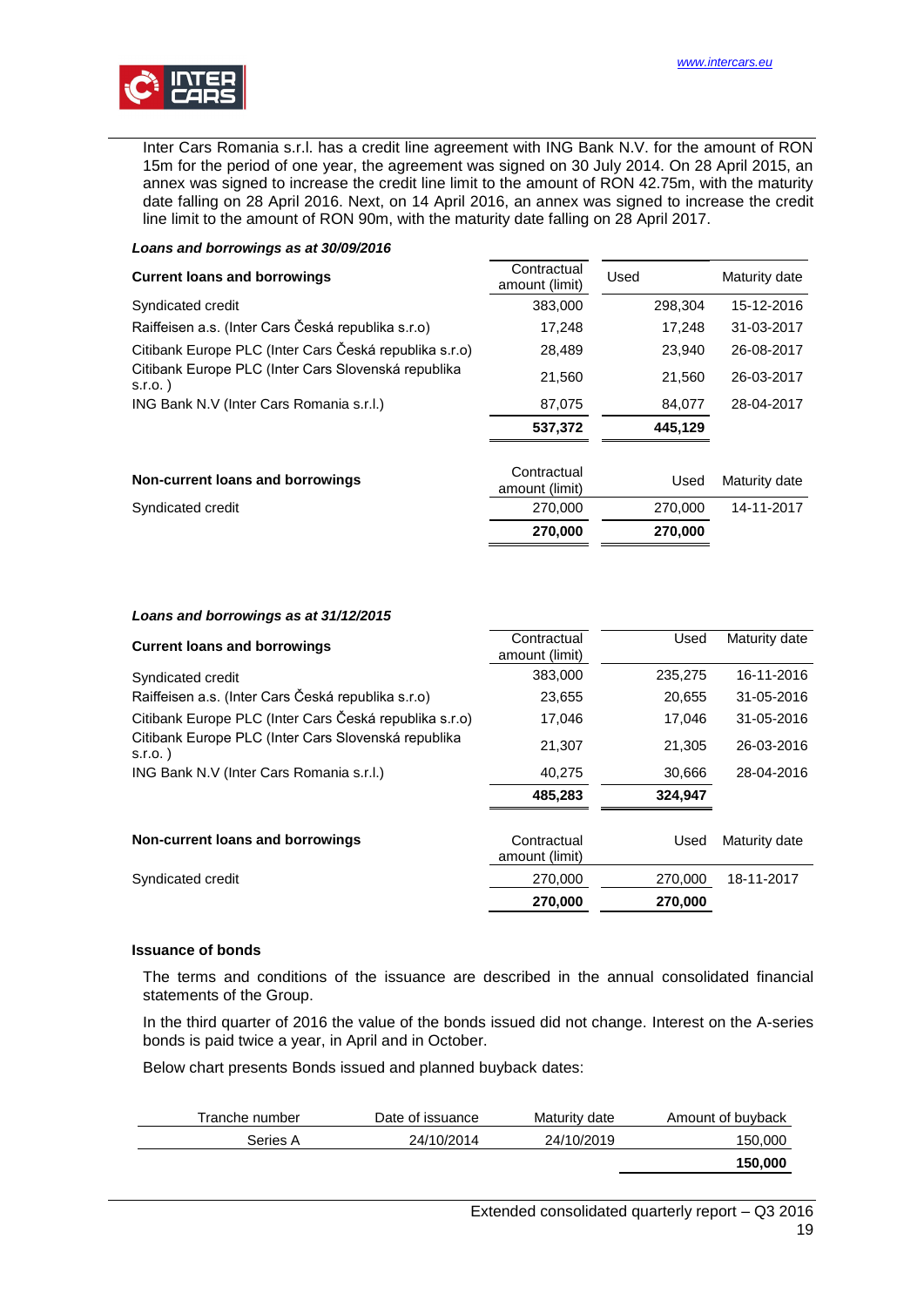

Inter Cars Romania s.r.l. has a credit line agreement with ING Bank N.V. for the amount of RON 15m for the period of one year, the agreement was signed on 30 July 2014. On 28 April 2015, an annex was signed to increase the credit line limit to the amount of RON 42.75m, with the maturity date falling on 28 April 2016. Next, on 14 April 2016, an annex was signed to increase the credit line limit to the amount of RON 90m, with the maturity date falling on 28 April 2017.

| <b>Current loans and borrowings</b>                               | Contractual<br>amount (limit) | Used    | Maturity date |
|-------------------------------------------------------------------|-------------------------------|---------|---------------|
| Syndicated credit                                                 | 383,000                       | 298.304 | 15-12-2016    |
| Raiffeisen a.s. (Inter Cars Česká republika s.r.o)                | 17,248                        | 17.248  | 31-03-2017    |
| Citibank Europe PLC (Inter Cars Česká republika s.r.o)            | 28,489                        | 23.940  | 26-08-2017    |
| Citibank Europe PLC (Inter Cars Slovenská republika<br>$S.I.O.$ ) | 21,560                        | 21,560  | 26-03-2017    |
| ING Bank N.V (Inter Cars Romania s.r.l.)                          | 87,075                        | 84,077  | 28-04-2017    |
|                                                                   | 537,372                       | 445.129 |               |
| Non-current loans and borrowings                                  | Contractual<br>amount (limit) | Used    | Maturity date |
| Syndicated credit                                                 | 270,000                       | 270,000 | 14-11-2017    |
|                                                                   | 270,000                       | 270,000 |               |

#### *Loans and borrowings as at 31/12/2015*

*Loans and borrowings as at 30/09/2016*

| <b>Current loans and borrowings</b>                               | Contractual<br>amount (limit) | Used    | Maturity date |
|-------------------------------------------------------------------|-------------------------------|---------|---------------|
| Syndicated credit                                                 | 383,000                       | 235,275 | 16-11-2016    |
| Raiffeisen a.s. (Inter Cars Česká republika s.r.o)                | 23,655                        | 20.655  | 31-05-2016    |
| Citibank Europe PLC (Inter Cars Česká republika s.r.o)            | 17,046                        | 17,046  | 31-05-2016    |
| Citibank Europe PLC (Inter Cars Slovenská republika<br>$S.I.O.$ ) | 21.307                        | 21,305  | 26-03-2016    |
| ING Bank N.V (Inter Cars Romania s.r.l.)                          | 40,275                        | 30,666  | 28-04-2016    |
|                                                                   | 485,283                       | 324,947 |               |
| Non-current loans and borrowings                                  | Contractual<br>amount (limit) | Used    | Maturity date |
| Syndicated credit                                                 | 270,000                       | 270,000 | 18-11-2017    |
|                                                                   | 270,000                       | 270,000 |               |

#### **Issuance of bonds**

The terms and conditions of the issuance are described in the annual consolidated financial statements of the Group.

In the third quarter of 2016 the value of the bonds issued did not change. Interest on the A-series bonds is paid twice a year, in April and in October.

Below chart presents Bonds issued and planned buyback dates:

| Tranche number | Date of issuance | Maturity date | Amount of buyback |
|----------------|------------------|---------------|-------------------|
| Series A       | 24/10/2014       | 24/10/2019    | 150,000           |
|                |                  |               | 150,000           |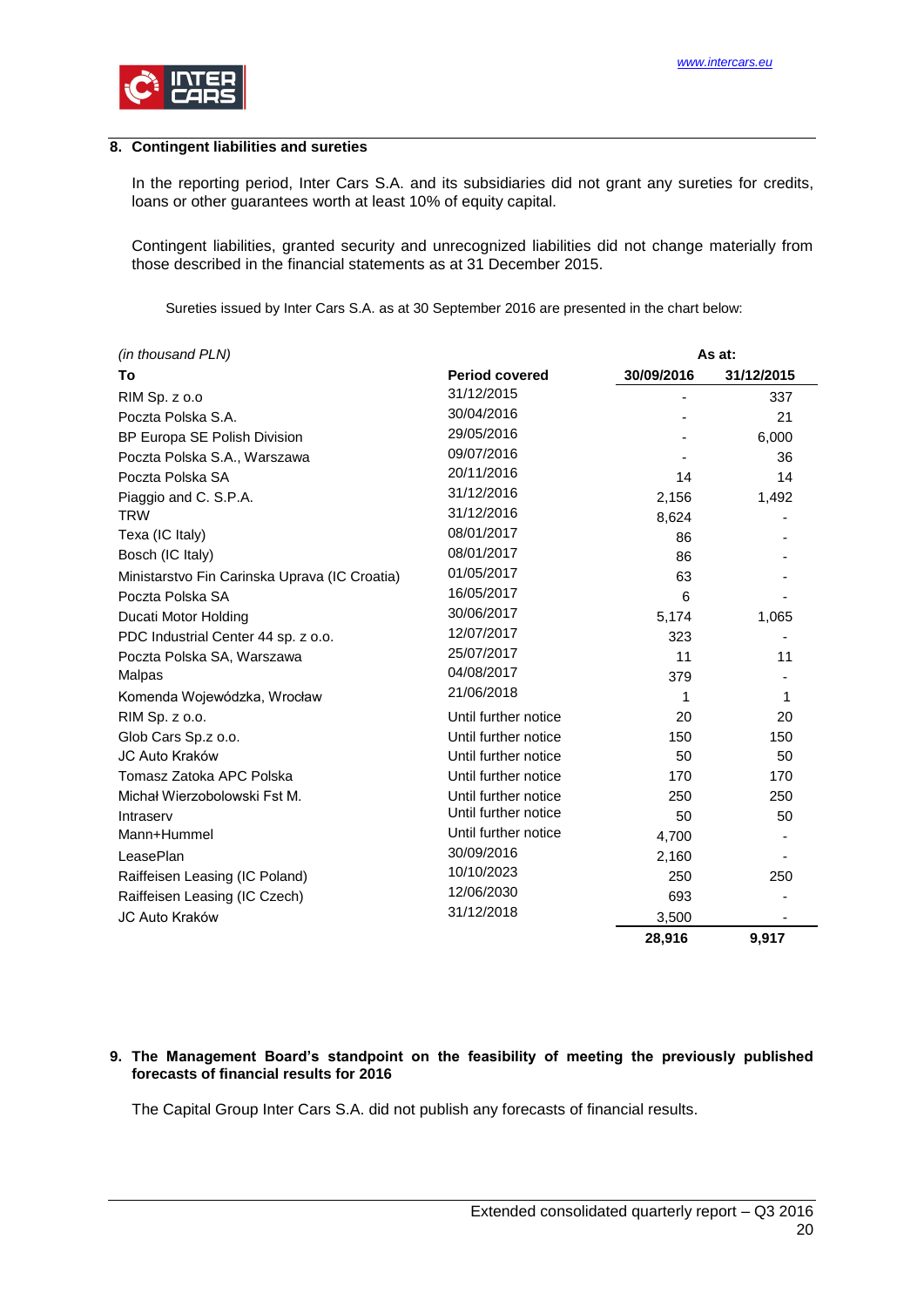

### <span id="page-19-0"></span>**8. Contingent liabilities and sureties**

In the reporting period, Inter Cars S.A. and its subsidiaries did not grant any sureties for credits, loans or other guarantees worth at least 10% of equity capital.

Contingent liabilities, granted security and unrecognized liabilities did not change materially from those described in the financial statements as at 31 December 2015.

Sureties issued by Inter Cars S.A. as at 30 September 2016 are presented in the chart below:

| (in thousand PLN)                             |                       |            | As at:     |
|-----------------------------------------------|-----------------------|------------|------------|
| Τo                                            | <b>Period covered</b> | 30/09/2016 | 31/12/2015 |
| RIM Sp. z o.o                                 | 31/12/2015            |            | 337        |
| Poczta Polska S.A.                            | 30/04/2016            |            | 21         |
| BP Europa SE Polish Division                  | 29/05/2016            |            | 6,000      |
| Poczta Polska S.A., Warszawa                  | 09/07/2016            |            | 36         |
| Poczta Polska SA                              | 20/11/2016            | 14         | 14         |
| Piaggio and C. S.P.A.                         | 31/12/2016            | 2,156      | 1,492      |
| <b>TRW</b>                                    | 31/12/2016            | 8,624      |            |
| Texa (IC Italy)                               | 08/01/2017            | 86         |            |
| Bosch (IC Italy)                              | 08/01/2017            | 86         |            |
| Ministarstvo Fin Carinska Uprava (IC Croatia) | 01/05/2017            | 63         |            |
| Poczta Polska SA                              | 16/05/2017            | 6          |            |
| Ducati Motor Holding                          | 30/06/2017            | 5,174      | 1,065      |
| PDC Industrial Center 44 sp. z o.o.           | 12/07/2017            | 323        |            |
| Poczta Polska SA, Warszawa                    | 25/07/2017            | 11         | 11         |
| Malpas                                        | 04/08/2017            | 379        |            |
| Komenda Wojewódzka, Wrocław                   | 21/06/2018            | 1          | 1          |
| RIM Sp. z o.o.                                | Until further notice  | 20         | 20         |
| Glob Cars Sp.z o.o.                           | Until further notice  | 150        | 150        |
| JC Auto Kraków                                | Until further notice  | 50         | 50         |
| Tomasz Zatoka APC Polska                      | Until further notice  | 170        | 170        |
| Michał Wierzobolowski Fst M.                  | Until further notice  | 250        | 250        |
| Intraserv                                     | Until further notice  | 50         | 50         |
| Mann+Hummel                                   | Until further notice  | 4,700      |            |
| LeasePlan                                     | 30/09/2016            | 2,160      |            |
| Raiffeisen Leasing (IC Poland)                | 10/10/2023            | 250        | 250        |
| Raiffeisen Leasing (IC Czech)                 | 12/06/2030            | 693        |            |
| JC Auto Kraków                                | 31/12/2018            | 3,500      |            |
|                                               |                       | 28,916     | 9,917      |

#### <span id="page-19-1"></span>**9. The Management Board's standpoint on the feasibility of meeting the previously published forecasts of financial results for 2016**

The Capital Group Inter Cars S.A. did not publish any forecasts of financial results.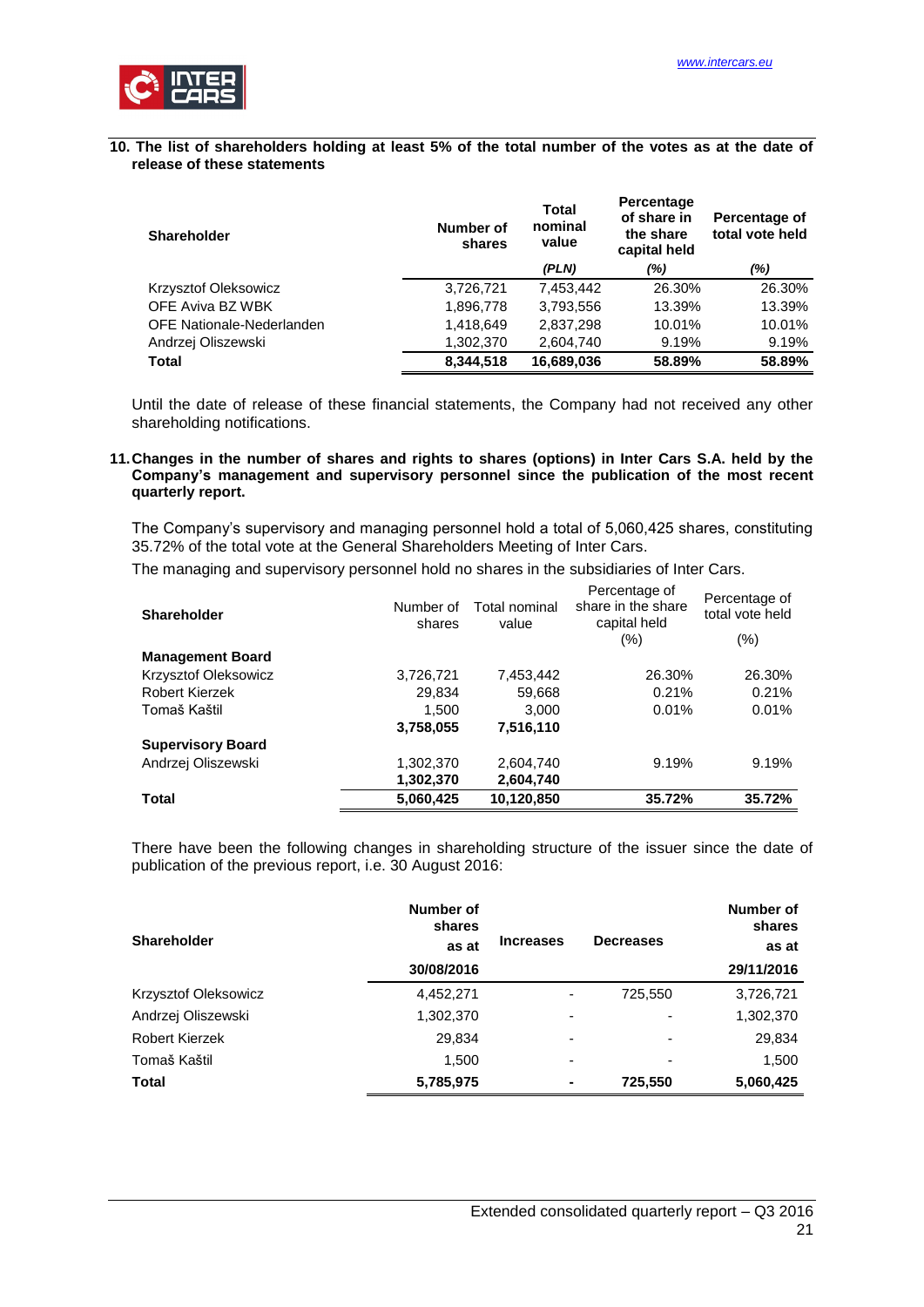

#### <span id="page-20-0"></span>**10. The list of shareholders holding at least 5% of the total number of the votes as at the date of release of these statements**

| <b>Shareholder</b>               | Number of<br>shares | Total<br>nominal<br>value | Percentage<br>of share in<br>the share<br>capital held | Percentage of<br>total vote held |
|----------------------------------|---------------------|---------------------------|--------------------------------------------------------|----------------------------------|
|                                  |                     | (PLN)                     | (%)                                                    | $(\%)$                           |
| Krzysztof Oleksowicz             | 3,726,721           | 7,453,442                 | 26.30%                                                 | 26.30%                           |
| OFE Aviva BZ WBK                 | 1,896,778           | 3,793,556                 | 13.39%                                                 | 13.39%                           |
| <b>OFE Nationale-Nederlanden</b> | 1,418,649           | 2,837,298                 | 10.01%                                                 | 10.01%                           |
| Andrzej Oliszewski               | 1,302,370           | 2,604,740                 | 9.19%                                                  | 9.19%                            |
| <b>Total</b>                     | 8,344,518           | 16,689,036                | 58.89%                                                 | 58.89%                           |

Until the date of release of these financial statements, the Company had not received any other shareholding notifications.

#### <span id="page-20-1"></span>**11.Changes in the number of shares and rights to shares (options) in Inter Cars S.A. held by the Company's management and supervisory personnel since the publication of the most recent quarterly report.**

The Company's supervisory and managing personnel hold a total of 5,060,425 shares, constituting 35.72% of the total vote at the General Shareholders Meeting of Inter Cars.

The managing and supervisory personnel hold no shares in the subsidiaries of Inter Cars.

| <b>Shareholder</b>       | Number of<br>shares | Total nominal<br>value | Percentage of<br>share in the share<br>capital held<br>$(\% )$ | Percentage of<br>total vote held<br>$(\% )$ |
|--------------------------|---------------------|------------------------|----------------------------------------------------------------|---------------------------------------------|
| <b>Management Board</b>  |                     |                        |                                                                |                                             |
| Krzysztof Oleksowicz     | 3,726,721           | 7,453,442              | 26.30%                                                         | 26.30%                                      |
| <b>Robert Kierzek</b>    | 29,834              | 59,668                 | 0.21%                                                          | 0.21%                                       |
| Tomaš Kaštil             | 1.500               | 3.000                  | 0.01%                                                          | 0.01%                                       |
|                          | 3,758,055           | 7,516,110              |                                                                |                                             |
| <b>Supervisory Board</b> |                     |                        |                                                                |                                             |
| Andrzej Oliszewski       | 1,302,370           | 2.604.740              | 9.19%                                                          | 9.19%                                       |
|                          | 1,302,370           | 2,604,740              |                                                                |                                             |
| Total                    | 5,060,425           | 10,120,850             | 35.72%                                                         | 35.72%                                      |

There have been the following changes in shareholding structure of the issuer since the date of publication of the previous report, i.e. 30 August 2016:

|                      | Number of<br>shares |                          |                  | Number of<br>shares |
|----------------------|---------------------|--------------------------|------------------|---------------------|
| <b>Shareholder</b>   | as at               | <b>Increases</b>         | <b>Decreases</b> | as at               |
|                      | 30/08/2016          |                          |                  | 29/11/2016          |
| Krzysztof Oleksowicz | 4,452,271           |                          | 725,550          | 3,726,721           |
| Andrzej Oliszewski   | 1,302,370           | $\overline{\phantom{0}}$ |                  | 1,302,370           |
| Robert Kierzek       | 29,834              | $\overline{\phantom{0}}$ |                  | 29,834              |
| Tomaš Kaštil         | 1.500               | ۰                        |                  | 1,500               |
| <b>Total</b>         | 5,785,975           | ۰                        | 725,550          | 5,060,425           |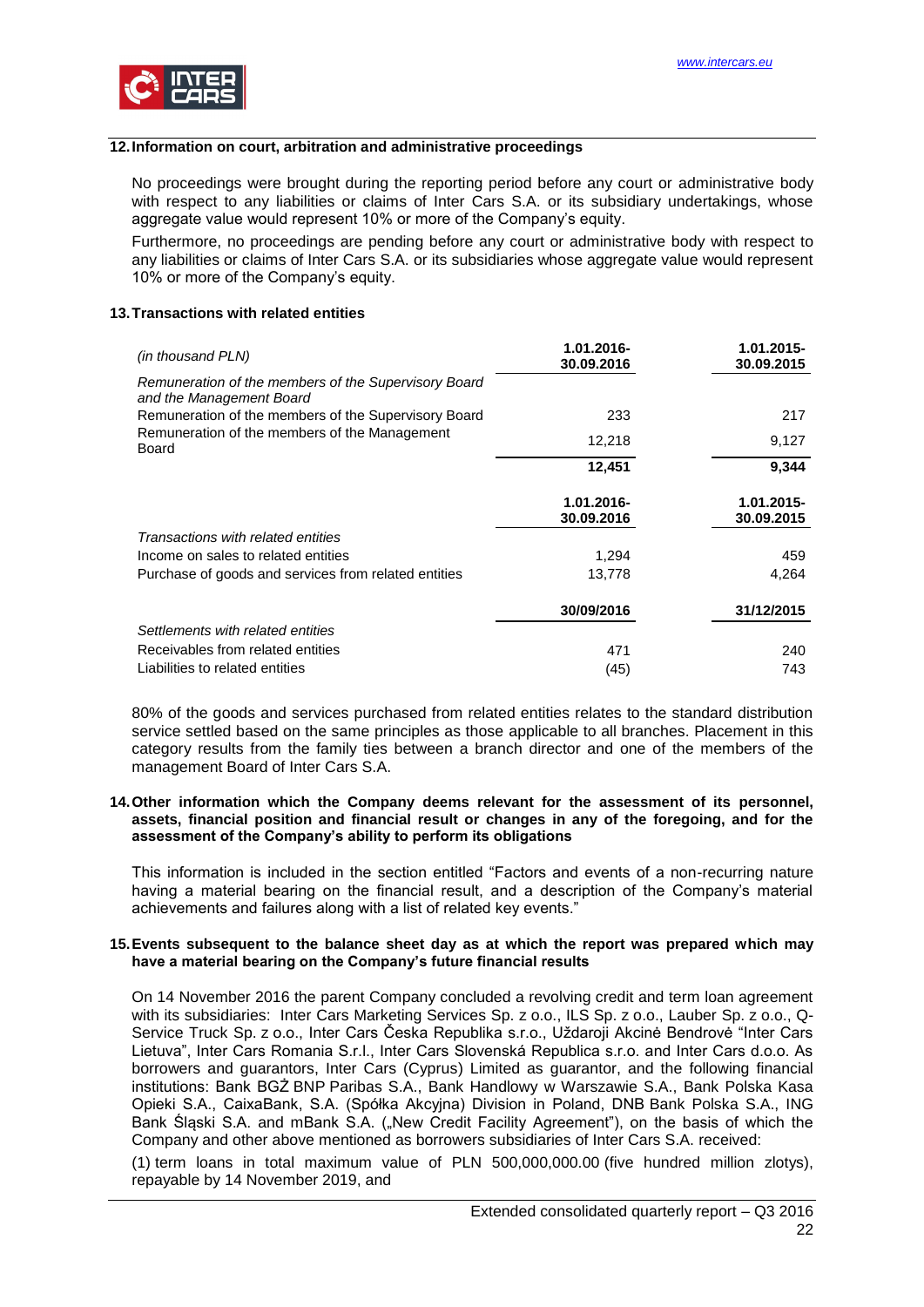

# <span id="page-21-0"></span>**12.Information on court, arbitration and administrative proceedings**

No proceedings were brought during the reporting period before any court or administrative body with respect to any liabilities or claims of Inter Cars S.A. or its subsidiary undertakings, whose aggregate value would represent 10% or more of the Company's equity.

Furthermore, no proceedings are pending before any court or administrative body with respect to any liabilities or claims of Inter Cars S.A. or its subsidiaries whose aggregate value would represent 10% or more of the Company's equity.

#### <span id="page-21-1"></span>**13.Transactions with related entities**

| (in thousand PLN)                                                                | 1.01.2016-               | 1.01.2015-               |
|----------------------------------------------------------------------------------|--------------------------|--------------------------|
| Remuneration of the members of the Supervisory Board<br>and the Management Board | 30.09.2016               | 30.09.2015               |
| Remuneration of the members of the Supervisory Board                             | 233                      | 217                      |
| Remuneration of the members of the Management<br><b>Board</b>                    | 12,218                   | 9,127                    |
|                                                                                  | 12,451                   | 9,344                    |
|                                                                                  | 1.01.2016-<br>30.09.2016 | 1.01.2015-<br>30.09.2015 |
| Transactions with related entities                                               |                          |                          |
| Income on sales to related entities                                              | 1,294                    | 459                      |
| Purchase of goods and services from related entities                             | 13,778                   | 4,264                    |
|                                                                                  | 30/09/2016               | 31/12/2015               |
| Settlements with related entities                                                |                          |                          |
| Receivables from related entities                                                | 471                      | 240                      |
| Liabilities to related entities                                                  | (45)                     | 743                      |

80% of the goods and services purchased from related entities relates to the standard distribution service settled based on the same principles as those applicable to all branches. Placement in this category results from the family ties between a branch director and one of the members of the management Board of Inter Cars S.A.

#### <span id="page-21-2"></span>**14.Other information which the Company deems relevant for the assessment of its personnel, assets, financial position and financial result or changes in any of the foregoing, and for the assessment of the Company's ability to perform its obligations**

This information is included in the section entitled "Factors and events of a non-recurring nature having a material bearing on the financial result, and a description of the Company's material achievements and failures along with a list of related key events."

#### <span id="page-21-3"></span>**15.Events subsequent to the balance sheet day as at which the report was prepared which may have a material bearing on the Company's future financial results**

On 14 November 2016 the parent Company concluded a revolving credit and term loan agreement with its subsidiaries: Inter Cars Marketing Services Sp. z o.o., ILS Sp. z o.o., Lauber Sp. z o.o., Q-Service Truck Sp. z o.o., Inter Cars Česka Republika s.r.o., Uždaroji Akcinė Bendrovė "Inter Cars Lietuva", Inter Cars Romania S.r.l., Inter Cars Slovenská Republica s.r.o. and Inter Cars d.o.o. As borrowers and guarantors, Inter Cars (Cyprus) Limited as guarantor, and the following financial institutions: Bank BGŻ BNP Paribas S.A., Bank Handlowy w Warszawie S.A., Bank Polska Kasa Opieki S.A., CaixaBank, S.A. (Spółka Akcyjna) Division in Poland, DNB Bank Polska S.A., ING Bank Śląski S.A. and mBank S.A. ("New Credit Facility Agreement"), on the basis of which the Company and other above mentioned as borrowers subsidiaries of Inter Cars S.A. received:

(1) term loans in total maximum value of PLN 500,000,000.00 (five hundred million zlotys), repayable by 14 November 2019, and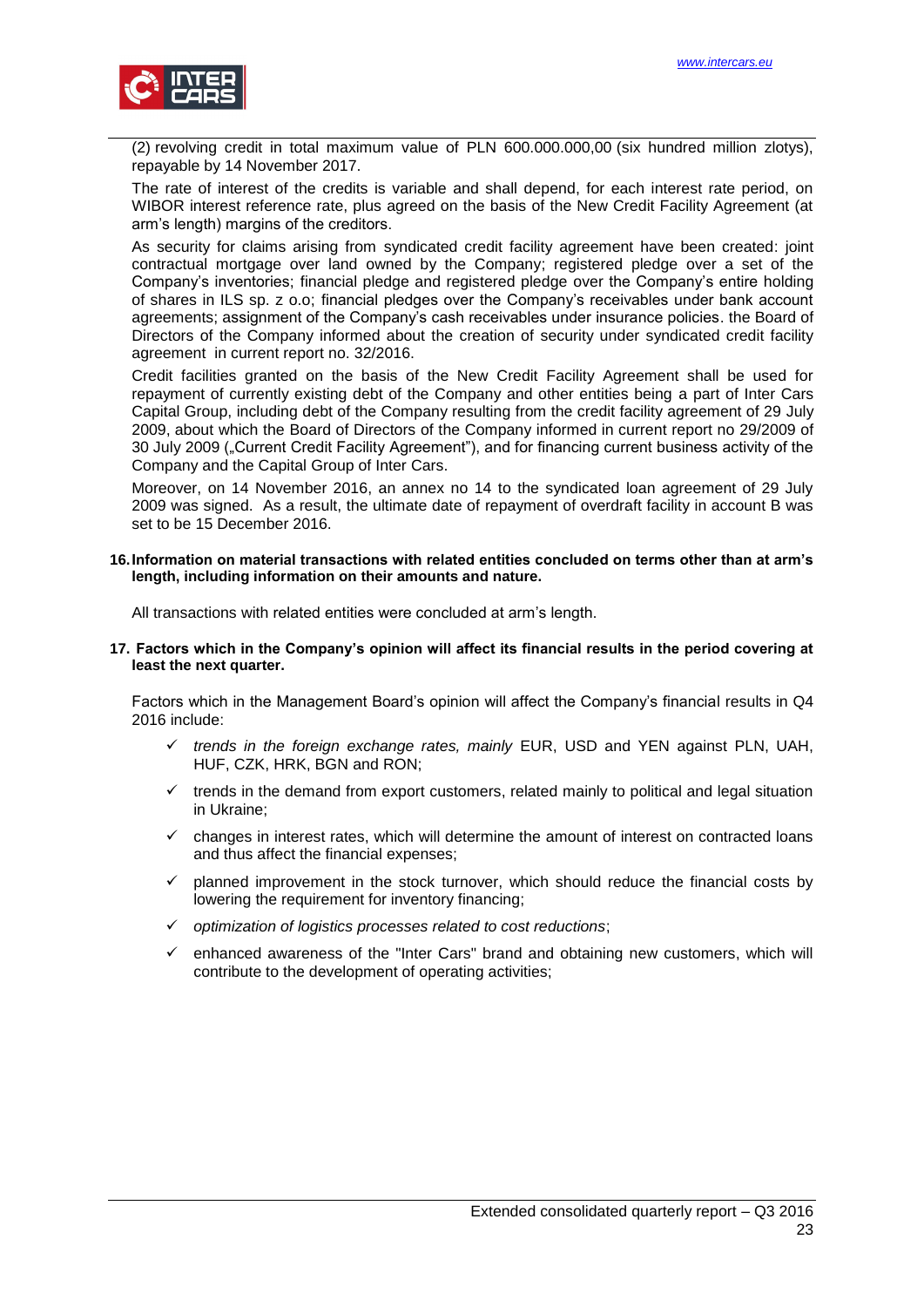

(2) revolving credit in total maximum value of PLN 600.000.000,00 (six hundred million zlotys), repayable by 14 November 2017.

The rate of interest of the credits is variable and shall depend, for each interest rate period, on WIBOR interest reference rate, plus agreed on the basis of the New Credit Facility Agreement (at arm's length) margins of the creditors.

As security for claims arising from syndicated credit facility agreement have been created: joint contractual mortgage over land owned by the Company; registered pledge over a set of the Company's inventories; financial pledge and registered pledge over the Company's entire holding of shares in ILS sp. z o.o; financial pledges over the Company's receivables under bank account agreements; assignment of the Company's cash receivables under insurance policies. the Board of Directors of the Company informed about the creation of security under syndicated credit facility agreement in current report no. 32/2016.

Credit facilities granted on the basis of the New Credit Facility Agreement shall be used for repayment of currently existing debt of the Company and other entities being a part of Inter Cars Capital Group, including debt of the Company resulting from the credit facility agreement of 29 July 2009, about which the Board of Directors of the Company informed in current report no 29/2009 of 30 July 2009 ("Current Credit Facility Agreement"), and for financing current business activity of the Company and the Capital Group of Inter Cars.

Moreover, on 14 November 2016, an annex no 14 to the syndicated loan agreement of 29 July 2009 was signed. As a result, the ultimate date of repayment of overdraft facility in account B was set to be 15 December 2016.

#### <span id="page-22-0"></span>**16.Information on material transactions with related entities concluded on terms other than at arm's length, including information on their amounts and nature.**

<span id="page-22-1"></span>All transactions with related entities were concluded at arm's length.

**17. Factors which in the Company's opinion will affect its financial results in the period covering at least the next quarter.**

Factors which in the Management Board's opinion will affect the Company's financial results in Q4 2016 include:

- *trends in the foreign exchange rates, mainly* EUR, USD and YEN against PLN, UAH, HUF, CZK, HRK, BGN and RON;
- $\checkmark$  trends in the demand from export customers, related mainly to political and legal situation in Ukraine;
- $\checkmark$  changes in interest rates, which will determine the amount of interest on contracted loans and thus affect the financial expenses;
- $\checkmark$  planned improvement in the stock turnover, which should reduce the financial costs by lowering the requirement for inventory financing;
- *optimization of logistics processes related to cost reductions*;
- $\checkmark$  enhanced awareness of the "Inter Cars" brand and obtaining new customers, which will contribute to the development of operating activities;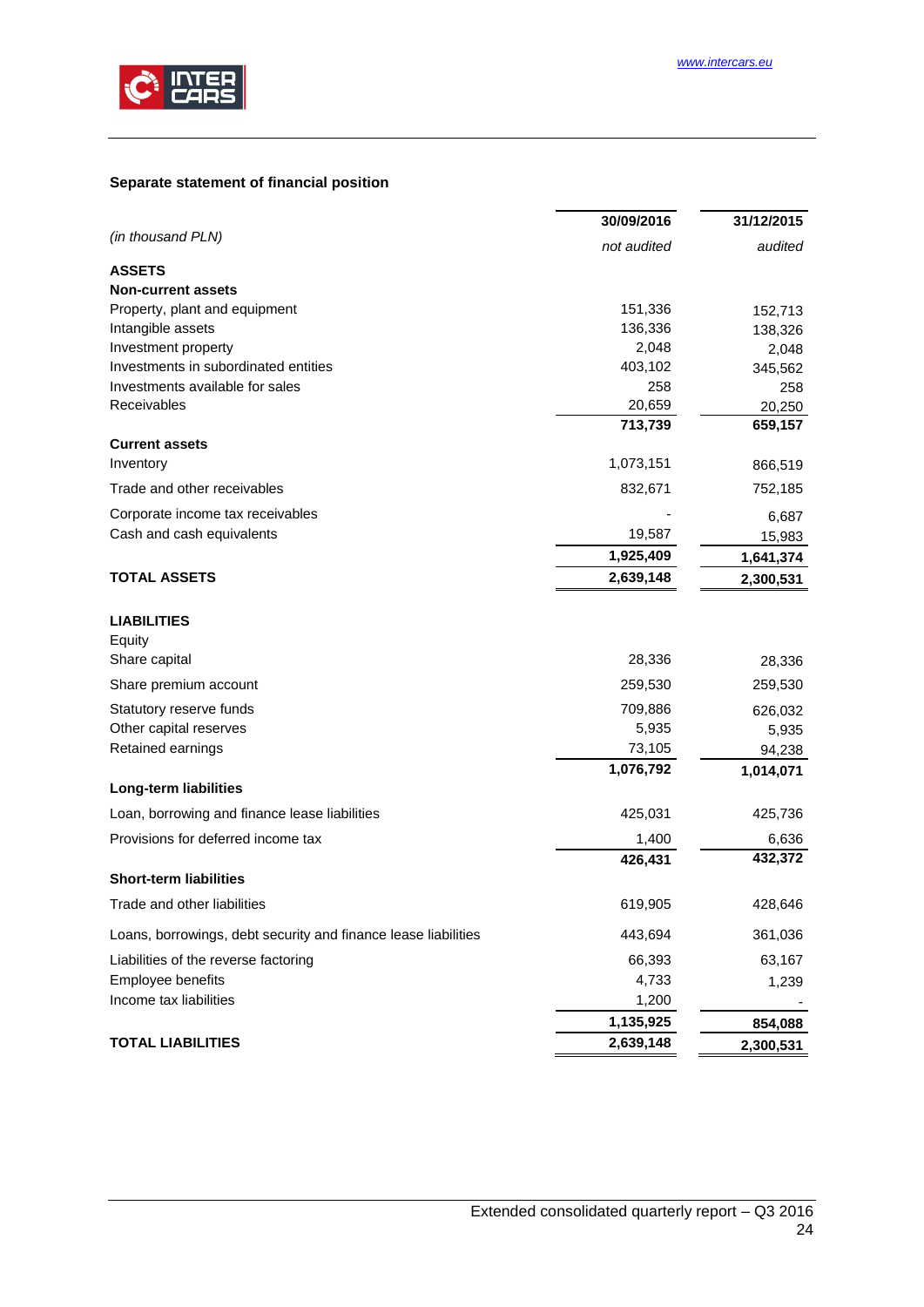

# <span id="page-23-0"></span>**Separate statement of financial position**

|                                                                | 30/09/2016  | 31/12/2015 |
|----------------------------------------------------------------|-------------|------------|
| (in thousand PLN)                                              | not audited | audited    |
| <b>ASSETS</b>                                                  |             |            |
| <b>Non-current assets</b>                                      |             |            |
| Property, plant and equipment                                  | 151,336     | 152,713    |
| Intangible assets                                              | 136,336     | 138,326    |
| Investment property                                            | 2,048       | 2,048      |
| Investments in subordinated entities                           | 403,102     | 345,562    |
| Investments available for sales                                | 258         | 258        |
| Receivables                                                    | 20,659      | 20,250     |
|                                                                | 713,739     | 659,157    |
| <b>Current assets</b>                                          |             |            |
| Inventory                                                      | 1,073,151   | 866,519    |
| Trade and other receivables                                    | 832,671     | 752,185    |
| Corporate income tax receivables                               |             | 6,687      |
| Cash and cash equivalents                                      | 19,587      | 15,983     |
|                                                                | 1,925,409   | 1,641,374  |
| <b>TOTAL ASSETS</b>                                            | 2,639,148   | 2,300,531  |
| <b>LIABILITIES</b>                                             |             |            |
| Equity                                                         |             |            |
| Share capital                                                  | 28,336      | 28,336     |
| Share premium account                                          | 259,530     | 259,530    |
| Statutory reserve funds                                        | 709,886     | 626,032    |
| Other capital reserves                                         | 5,935       | 5,935      |
| Retained earnings                                              | 73,105      | 94,238     |
|                                                                | 1,076,792   | 1,014,071  |
| Long-term liabilities                                          |             |            |
| Loan, borrowing and finance lease liabilities                  | 425,031     | 425,736    |
| Provisions for deferred income tax                             | 1,400       | 6,636      |
| <b>Short-term liabilities</b>                                  | 426,431     | 432,372    |
| Trade and other liabilities                                    | 619,905     | 428,646    |
| Loans, borrowings, debt security and finance lease liabilities | 443,694     | 361,036    |
| Liabilities of the reverse factoring                           | 66,393      | 63,167     |
| Employee benefits                                              | 4,733       | 1,239      |
| Income tax liabilities                                         | 1,200       |            |
|                                                                | 1,135,925   | 854,088    |
| <b>TOTAL LIABILITIES</b>                                       | 2,639,148   | 2,300,531  |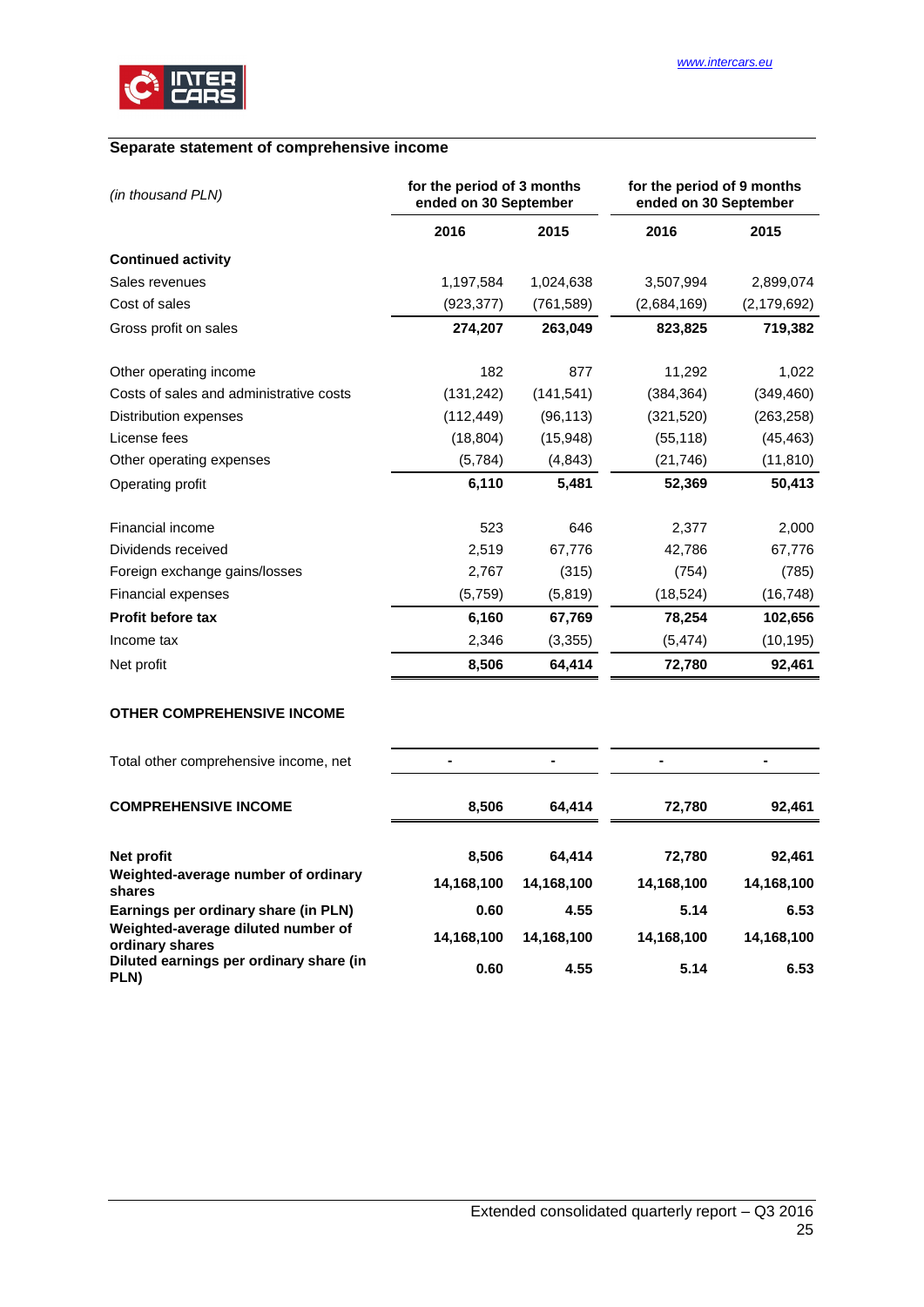

# <span id="page-24-0"></span>**Separate statement of comprehensive income**

| (in thousand PLN)                       | for the period of 3 months<br>ended on 30 September |            | for the period of 9 months<br>ended on 30 September |               |
|-----------------------------------------|-----------------------------------------------------|------------|-----------------------------------------------------|---------------|
|                                         | 2016                                                | 2015       | 2016                                                | 2015          |
| <b>Continued activity</b>               |                                                     |            |                                                     |               |
| Sales revenues                          | 1,197,584                                           | 1,024,638  | 3,507,994                                           | 2,899,074     |
| Cost of sales                           | (923, 377)                                          | (761, 589) | (2,684,169)                                         | (2, 179, 692) |
| Gross profit on sales                   | 274,207                                             | 263,049    | 823,825                                             | 719,382       |
| Other operating income                  | 182                                                 | 877        | 11,292                                              | 1,022         |
| Costs of sales and administrative costs | (131, 242)                                          | (141, 541) | (384, 364)                                          | (349, 460)    |
| Distribution expenses                   | (112, 449)                                          | (96, 113)  | (321, 520)                                          | (263, 258)    |
| License fees                            | (18, 804)                                           | (15, 948)  | (55, 118)                                           | (45, 463)     |
| Other operating expenses                | (5,784)                                             | (4, 843)   | (21, 746)                                           | (11, 810)     |
| Operating profit                        | 6,110                                               | 5,481      | 52,369                                              | 50,413        |
| Financial income                        | 523                                                 | 646        | 2,377                                               | 2,000         |
| Dividends received                      | 2,519                                               | 67,776     | 42,786                                              | 67,776        |
| Foreign exchange gains/losses           | 2,767                                               | (315)      | (754)                                               | (785)         |
| <b>Financial expenses</b>               | (5,759)                                             | (5, 819)   | (18, 524)                                           | (16, 748)     |
| <b>Profit before tax</b>                | 6,160                                               | 67,769     | 78,254                                              | 102,656       |
| Income tax                              | 2,346                                               | (3, 355)   | (5, 474)                                            | (10, 195)     |
| Net profit                              | 8,506                                               | 64,414     | 72,780                                              | 92,461        |

# **OTHER COMPREHENSIVE INCOME**

| Total other comprehensive income, net                 |            |            | $\blacksquare$ |            |
|-------------------------------------------------------|------------|------------|----------------|------------|
| <b>COMPREHENSIVE INCOME</b>                           | 8,506      | 64.414     | 72,780         | 92,461     |
| Net profit                                            | 8,506      | 64.414     | 72,780         | 92,461     |
| Weighted-average number of ordinary<br>shares         | 14,168,100 | 14,168,100 | 14,168,100     | 14,168,100 |
| Earnings per ordinary share (in PLN)                  | 0.60       | 4.55       | 5.14           | 6.53       |
| Weighted-average diluted number of<br>ordinary shares | 14,168,100 | 14,168,100 | 14,168,100     | 14,168,100 |
| Diluted earnings per ordinary share (in<br>PLN)       | 0.60       | 4.55       | 5.14           | 6.53       |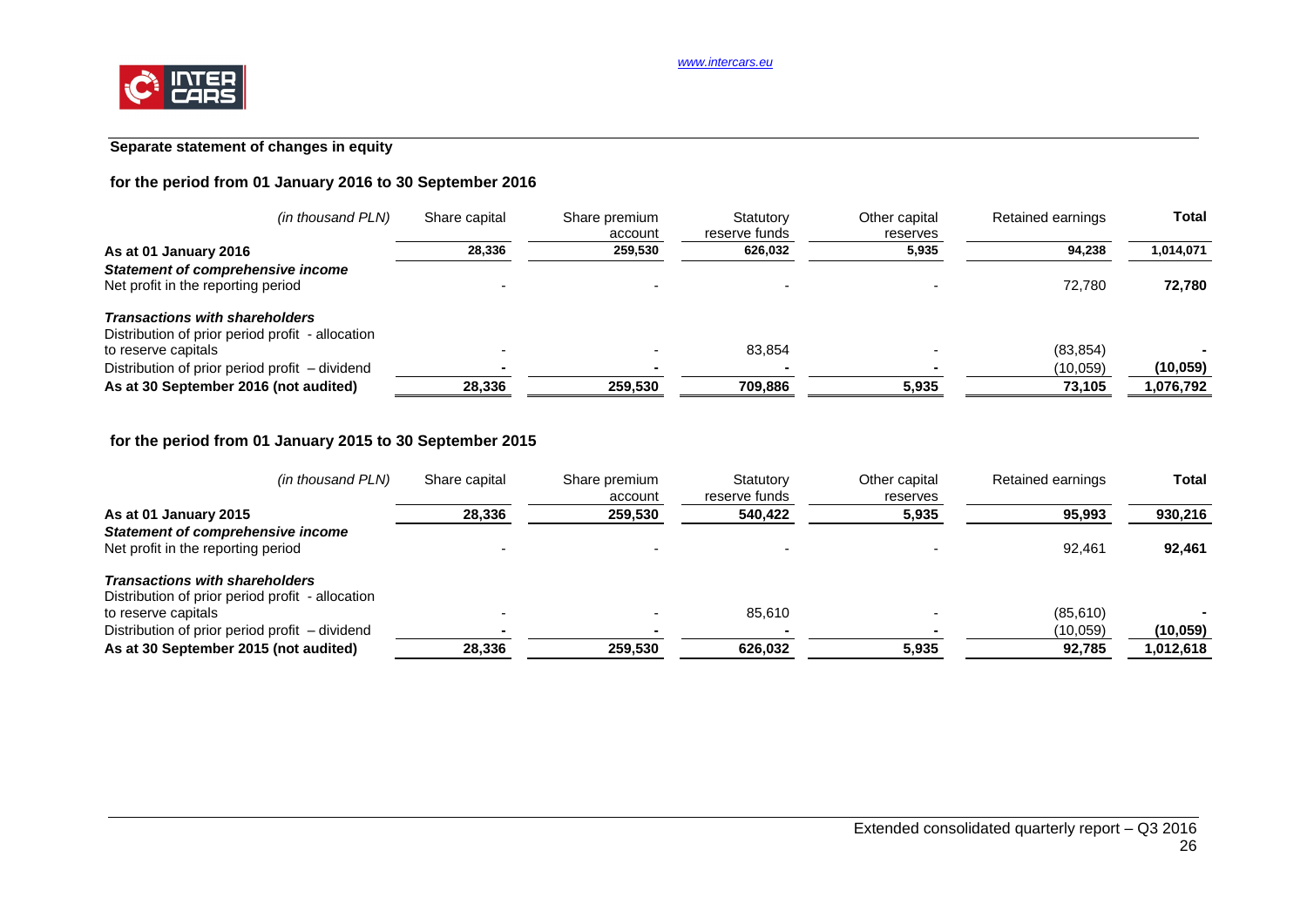# **Separate statement of changes in equity**

# **for the period from 01 January 2016 to 30 September 2016**

| (in thousand PLN)                                                                         | Share capital | Share premium<br>account | Statutory<br>reserve funds | Other capital<br>reserves | Retained earnings | <b>Total</b> |
|-------------------------------------------------------------------------------------------|---------------|--------------------------|----------------------------|---------------------------|-------------------|--------------|
| As at 01 January 2016                                                                     | 28.336        | 259.530                  | 626,032                    | 5,935                     | 94.238            | 1,014,071    |
| <b>Statement of comprehensive income</b><br>Net profit in the reporting period            |               |                          |                            |                           | 72.780            | 72,780       |
| <b>Transactions with shareholders</b><br>Distribution of prior period profit - allocation |               |                          |                            |                           |                   |              |
| to reserve capitals                                                                       |               |                          | 83.854                     |                           | (83, 854)         |              |
| Distribution of prior period profit – dividend                                            |               |                          |                            |                           | (10,059)          | (10, 059)    |
| As at 30 September 2016 (not audited)                                                     | 28,336        | 259,530                  | 709,886                    | 5,935                     | 73,105            | .076,792     |

# **for the period from 01 January 2015 to 30 September 2015**

| (in thousand PLN)                                | Share capital | Share premium<br>account | Statutory<br>reserve funds | Other capital<br>reserves | Retained earnings | <b>Total</b> |
|--------------------------------------------------|---------------|--------------------------|----------------------------|---------------------------|-------------------|--------------|
| As at 01 January 2015                            | 28,336        | 259,530                  | 540,422                    | 5,935                     | 95,993            | 930,216      |
| <b>Statement of comprehensive income</b>         |               |                          |                            |                           |                   |              |
| Net profit in the reporting period               |               |                          |                            |                           | 92.461            | 92,461       |
| <b>Transactions with shareholders</b>            |               |                          |                            |                           |                   |              |
| Distribution of prior period profit - allocation |               |                          |                            |                           |                   |              |
| to reserve capitals                              |               |                          | 85.610                     |                           | (85,610)          |              |
| Distribution of prior period profit – dividend   |               |                          |                            |                           | (10,059)          | (10, 059)    |
| As at 30 September 2015 (not audited)            | 28.336        | 259.530                  | 626.032                    | 5,935                     | 92.785            | 1,012,618    |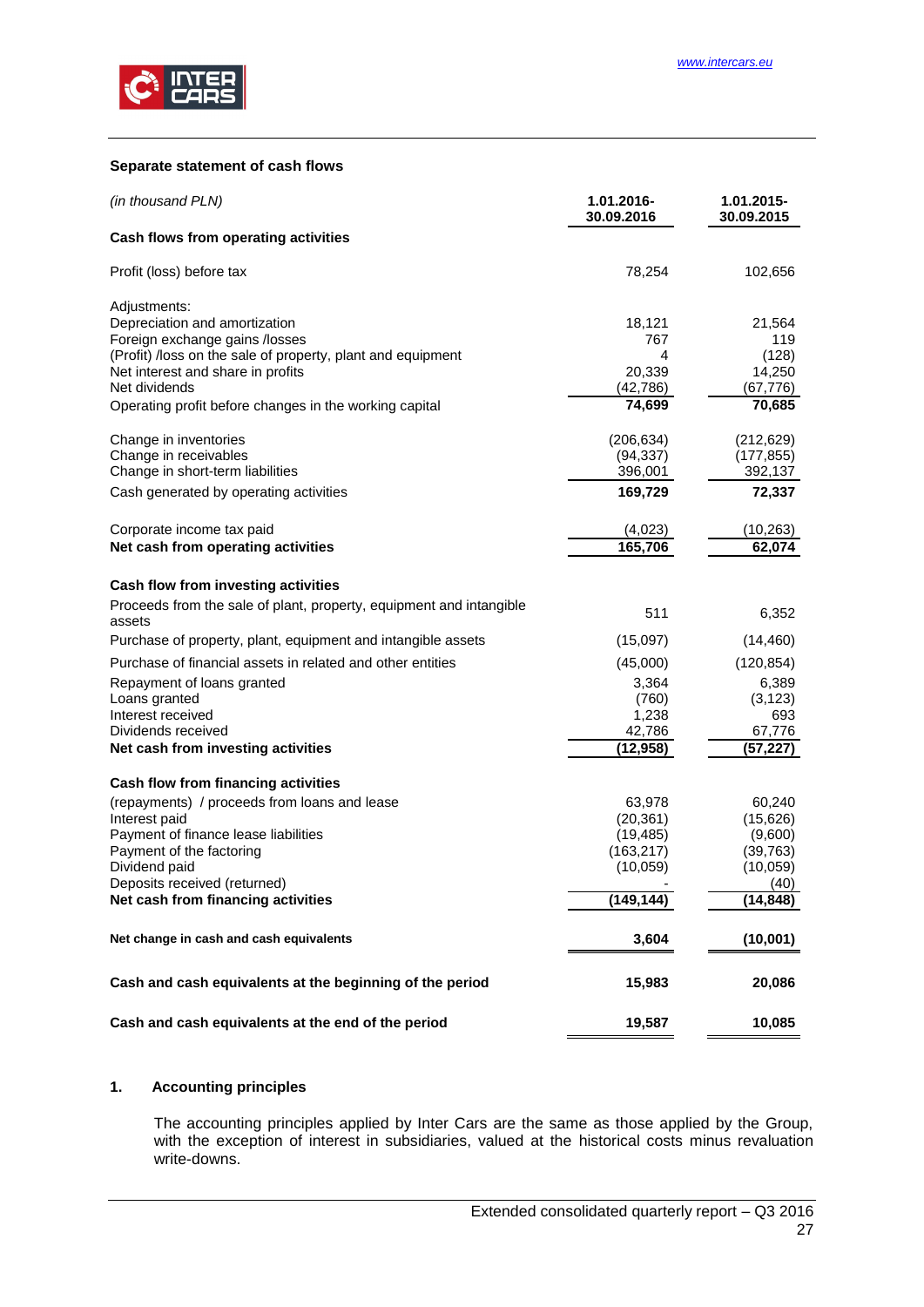

#### <span id="page-26-0"></span>**Separate statement of cash flows**

| (in thousand PLN)                                                                                | 1.01.2016-<br>30.09.2016 | 1.01.2015-<br>30.09.2015 |
|--------------------------------------------------------------------------------------------------|--------------------------|--------------------------|
| Cash flows from operating activities                                                             |                          |                          |
| Profit (loss) before tax                                                                         | 78,254                   | 102,656                  |
| Adjustments:                                                                                     |                          |                          |
| Depreciation and amortization                                                                    | 18,121                   | 21,564                   |
| Foreign exchange gains /losses                                                                   | 767                      | 119                      |
| (Profit) /loss on the sale of property, plant and equipment<br>Net interest and share in profits | 4<br>20,339              | (128)<br>14,250          |
| Net dividends                                                                                    | (42, 786)                | (67,776)                 |
| Operating profit before changes in the working capital                                           | 74,699                   | 70,685                   |
| Change in inventories                                                                            | (206, 634)               | (212, 629)               |
| Change in receivables                                                                            | (94, 337)                | (177, 855)               |
| Change in short-term liabilities                                                                 | 396,001                  | 392,137                  |
| Cash generated by operating activities                                                           | 169,729                  | 72,337                   |
| Corporate income tax paid                                                                        | (4,023)                  | (10, 263)                |
| Net cash from operating activities                                                               | 165,706                  | 62,074                   |
| Cash flow from investing activities                                                              |                          |                          |
| Proceeds from the sale of plant, property, equipment and intangible<br>assets                    | 511                      | 6,352                    |
| Purchase of property, plant, equipment and intangible assets                                     | (15,097)                 | (14, 460)                |
| Purchase of financial assets in related and other entities                                       | (45,000)                 | (120, 854)               |
| Repayment of loans granted                                                                       | 3,364                    | 6,389                    |
| Loans granted                                                                                    | (760)                    | (3, 123)                 |
| Interest received                                                                                | 1,238                    | 693                      |
| Dividends received                                                                               | 42,786                   | 67,776                   |
| Net cash from investing activities                                                               | (12, 958)                | (57, 227)                |
| Cash flow from financing activities                                                              |                          |                          |
| (repayments) / proceeds from loans and lease                                                     | 63,978                   | 60,240                   |
| Interest paid                                                                                    | (20, 361)                | (15,626)                 |
| Payment of finance lease liabilities<br>Payment of the factoring                                 | (19, 485)<br>(163, 217)  | (9,600)<br>(39, 763)     |
| Dividend paid                                                                                    | (10,059)                 | (10, 059)                |
| Deposits received (returned)                                                                     |                          | (40)                     |
| Net cash from financing activities                                                               | (149, 144)               | (14,848)                 |
| Net change in cash and cash equivalents                                                          | 3,604                    | (10,001)                 |
| Cash and cash equivalents at the beginning of the period                                         | 15,983                   | 20,086                   |
| Cash and cash equivalents at the end of the period                                               | 19,587                   | 10,085                   |

## <span id="page-26-1"></span>**1. Accounting principles**

The accounting principles applied by Inter Cars are the same as those applied by the Group, with the exception of interest in subsidiaries, valued at the historical costs minus revaluation write-downs.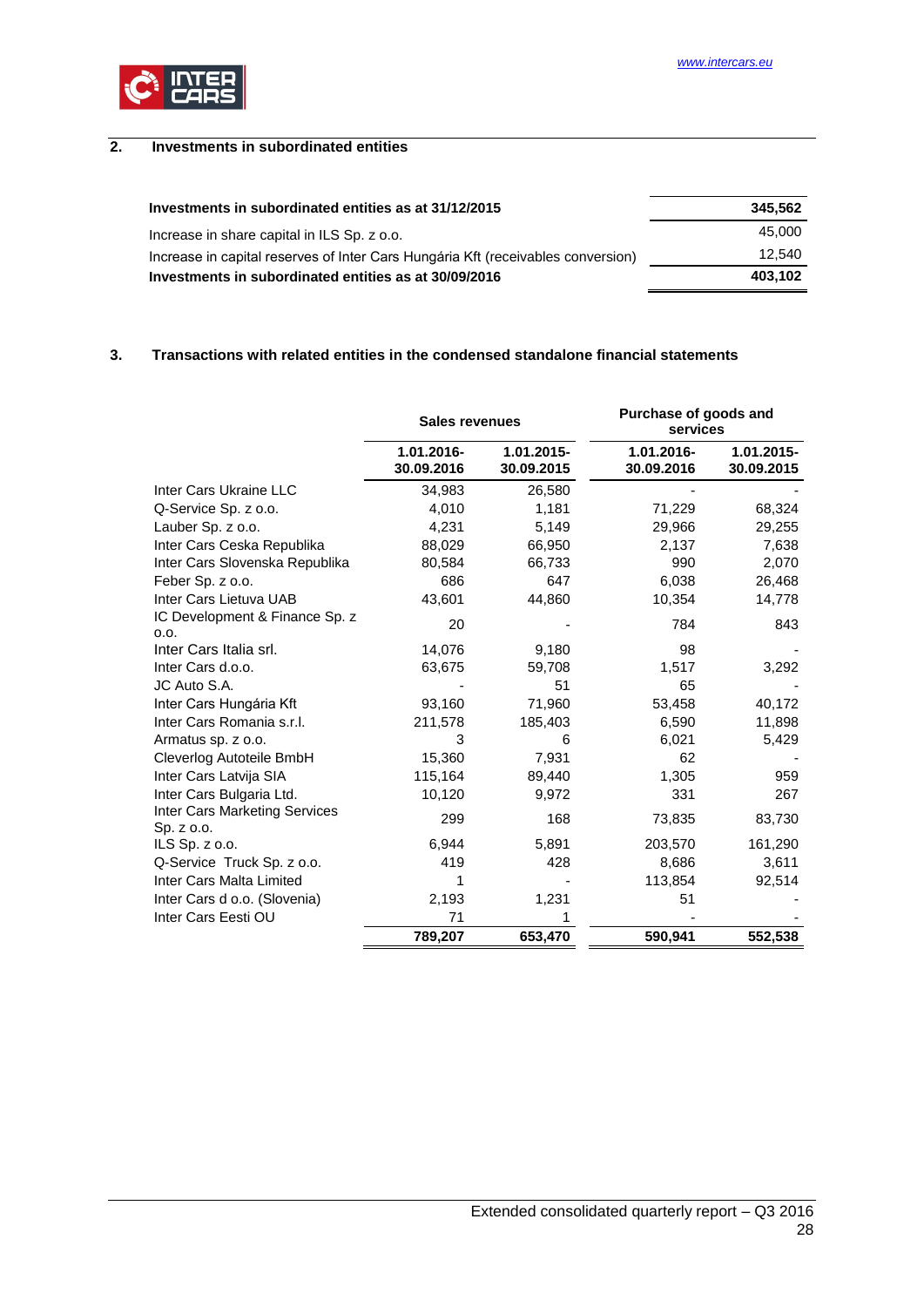

# <span id="page-27-0"></span>**2. Investments in subordinated entities**

| Investments in subordinated entities as at 31/12/2015                            | 345.562 |
|----------------------------------------------------------------------------------|---------|
| Increase in share capital in ILS Sp. z o.o.                                      | 45.000  |
| Increase in capital reserves of Inter Cars Hungária Kft (receivables conversion) | 12.540  |
| Investments in subordinated entities as at 30/09/2016                            | 403.102 |

### <span id="page-27-1"></span>**3. Transactions with related entities in the condensed standalone financial statements**

|                                             | <b>Sales revenues</b>    |                          | Purchase of goods and<br>services |                          |
|---------------------------------------------|--------------------------|--------------------------|-----------------------------------|--------------------------|
|                                             | 1.01.2016-<br>30.09.2016 | 1.01.2015-<br>30.09.2015 | 1.01.2016-<br>30.09.2016          | 1.01.2015-<br>30.09.2015 |
| Inter Cars Ukraine LLC                      | 34,983                   | 26,580                   |                                   |                          |
| Q-Service Sp. z o.o.                        | 4,010                    | 1,181                    | 71,229                            | 68,324                   |
| Lauber Sp. z o.o.                           | 4,231                    | 5,149                    | 29,966                            | 29,255                   |
| Inter Cars Ceska Republika                  | 88,029                   | 66,950                   | 2,137                             | 7,638                    |
| Inter Cars Slovenska Republika              | 80,584                   | 66,733                   | 990                               | 2,070                    |
| Feber Sp. z o.o.                            | 686                      | 647                      | 6,038                             | 26,468                   |
| Inter Cars Lietuva UAB                      | 43,601                   | 44,860                   | 10,354                            | 14,778                   |
| IC Development & Finance Sp. z<br>0.0.      | 20                       |                          | 784                               | 843                      |
| Inter Cars Italia srl.                      | 14,076                   | 9,180                    | 98                                |                          |
| Inter Cars d.o.o.                           | 63,675                   | 59,708                   | 1,517                             | 3,292                    |
| JC Auto S.A.                                |                          | 51                       | 65                                |                          |
| Inter Cars Hungária Kft                     | 93,160                   | 71,960                   | 53,458                            | 40,172                   |
| Inter Cars Romania s.r.l.                   | 211,578                  | 185,403                  | 6,590                             | 11,898                   |
| Armatus sp. z o.o.                          | 3                        | 6                        | 6,021                             | 5,429                    |
| Cleverlog Autoteile BmbH                    | 15,360                   | 7,931                    | 62                                |                          |
| Inter Cars Latvija SIA                      | 115,164                  | 89,440                   | 1,305                             | 959                      |
| Inter Cars Bulgaria Ltd.                    | 10,120                   | 9,972                    | 331                               | 267                      |
| Inter Cars Marketing Services<br>Sp. z o.o. | 299                      | 168                      | 73,835                            | 83,730                   |
| ILS Sp. z o.o.                              | 6,944                    | 5,891                    | 203,570                           | 161,290                  |
| Q-Service Truck Sp. z o.o.                  | 419                      | 428                      | 8,686                             | 3,611                    |
| Inter Cars Malta Limited                    | 1                        |                          | 113,854                           | 92,514                   |
| Inter Cars d o.o. (Slovenia)                | 2,193                    | 1,231                    | 51                                |                          |
| Inter Cars Eesti OU                         | 71                       |                          |                                   |                          |
|                                             | 789,207                  | 653,470                  | 590,941                           | 552,538                  |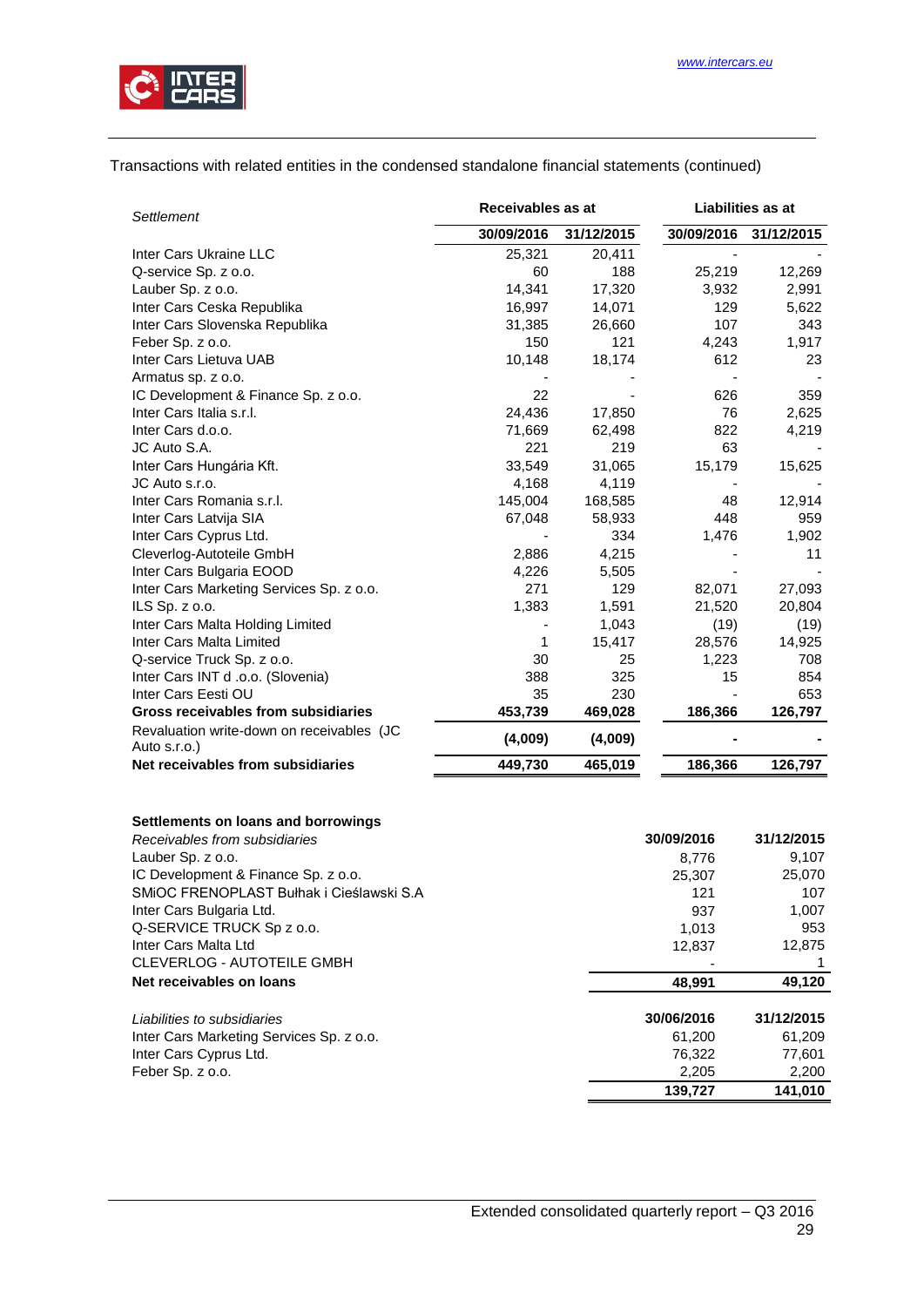

# Transactions with related entities in the condensed standalone financial statements (continued)

| <b>Settlement</b>                                                    | Receivables as at |            | Liabilities as at |            |
|----------------------------------------------------------------------|-------------------|------------|-------------------|------------|
|                                                                      | 30/09/2016        | 31/12/2015 | 30/09/2016        | 31/12/2015 |
| Inter Cars Ukraine LLC                                               | 25,321            | 20,411     |                   |            |
| Q-service Sp. z o.o.                                                 | 60                | 188        | 25,219            | 12,269     |
| Lauber Sp. z o.o.                                                    | 14,341            | 17,320     | 3,932             | 2,991      |
| Inter Cars Ceska Republika                                           | 16,997            | 14,071     | 129               | 5,622      |
| Inter Cars Slovenska Republika                                       | 31,385            | 26,660     | 107               | 343        |
| Feber Sp. z o.o.                                                     | 150               | 121        | 4,243             | 1,917      |
| Inter Cars Lietuva UAB                                               | 10,148            | 18,174     | 612               | 23         |
| Armatus sp. z o.o.                                                   |                   |            |                   |            |
| IC Development & Finance Sp. z o.o.                                  | 22                |            | 626               | 359        |
| Inter Cars Italia s.r.l.                                             | 24,436            | 17,850     | 76                | 2,625      |
| Inter Cars d.o.o.                                                    | 71,669            | 62,498     | 822               | 4,219      |
| JC Auto S.A.                                                         | 221               | 219        | 63                |            |
| Inter Cars Hungária Kft.                                             | 33,549            | 31,065     | 15,179            | 15,625     |
| JC Auto s.r.o.                                                       | 4,168             | 4,119      |                   |            |
| Inter Cars Romania s.r.l.                                            | 145,004           | 168,585    | 48                | 12,914     |
| Inter Cars Latvija SIA                                               | 67,048            | 58,933     | 448               | 959        |
| Inter Cars Cyprus Ltd.                                               |                   | 334        | 1,476             | 1,902      |
| Cleverlog-Autoteile GmbH                                             | 2,886             | 4,215      |                   | 11         |
| Inter Cars Bulgaria EOOD                                             | 4,226             | 5,505      |                   |            |
| Inter Cars Marketing Services Sp. z o.o.                             | 271               | 129        | 82,071            | 27,093     |
| ILS Sp. z o.o.                                                       | 1,383             | 1,591      | 21,520            | 20,804     |
| Inter Cars Malta Holding Limited                                     |                   | 1,043      | (19)              | (19)       |
| Inter Cars Malta Limited                                             | 1                 | 15,417     | 28,576            | 14,925     |
| Q-service Truck Sp. z o.o.                                           | 30                | 25         | 1,223             | 708        |
| Inter Cars INT d .o.o. (Slovenia)                                    | 388               | 325        | 15                | 854        |
| Inter Cars Eesti OU                                                  | 35                | 230        |                   | 653        |
| Gross receivables from subsidiaries                                  | 453,739           | 469,028    | 186,366           | 126,797    |
| Revaluation write-down on receivables (JC                            | (4,009)           | (4,009)    |                   |            |
| Auto s.r.o.)<br>Net receivables from subsidiaries                    |                   |            |                   |            |
|                                                                      | 449,730           | 465,019    | 186,366           | 126,797    |
| Settlements on loans and borrowings<br>Receivables from subsidiaries |                   |            | 30/09/2016        | 31/12/2015 |

|                                          | <u>JUI UJILU I U</u> | <u>JII I LILU I J</u> |
|------------------------------------------|----------------------|-----------------------|
| Lauber Sp. z o.o.                        | 8.776                | 9,107                 |
| IC Development & Finance Sp. z o.o.      | 25.307               | 25,070                |
| SMIOC FRENOPLAST Bułhak i Cieślawski S.A | 121                  | 107                   |
| Inter Cars Bulgaria Ltd.                 | 937                  | 1,007                 |
| Q-SERVICE TRUCK Sp z o.o.                | 1.013                | 953                   |
| Inter Cars Malta Ltd                     | 12,837               | 12,875                |
| <b>CLEVERLOG - AUTOTEILE GMBH</b>        |                      |                       |
| Net receivables on loans                 | 48.991               | 49,120                |
| Liabilities to subsidiaries              | 30/06/2016           | 31/12/2015            |
| Inter Cars Marketing Services Sp. z o.o. | 61.200               | 61,209                |
| Inter Cars Cyprus Ltd.                   | 76,322               | 77,601                |
| Feber Sp. z o.o.                         | 2,205                | 2,200                 |
|                                          | 139.727              | 141.010               |
|                                          |                      |                       |